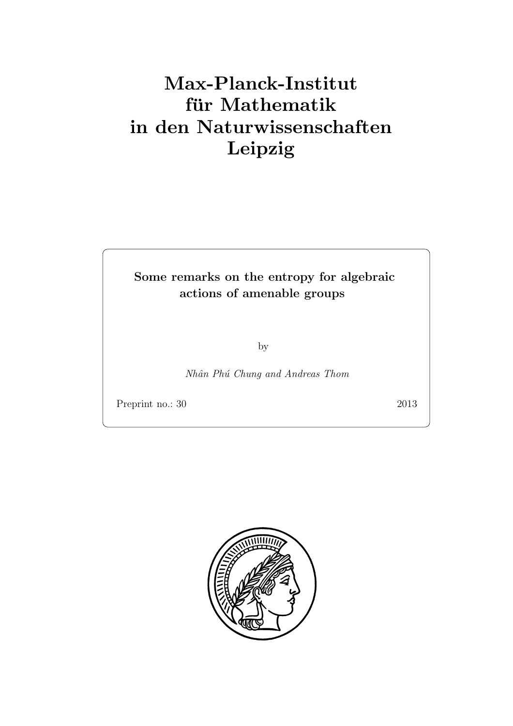# Max-Planck-Institut für Mathematik in den Naturwissenschaften Leipzig

### Some remarks on the entropy for algebraic actions of amenable groups

by

Nhân Phú Chung and Andreas Thom

Preprint no.: 30 2013

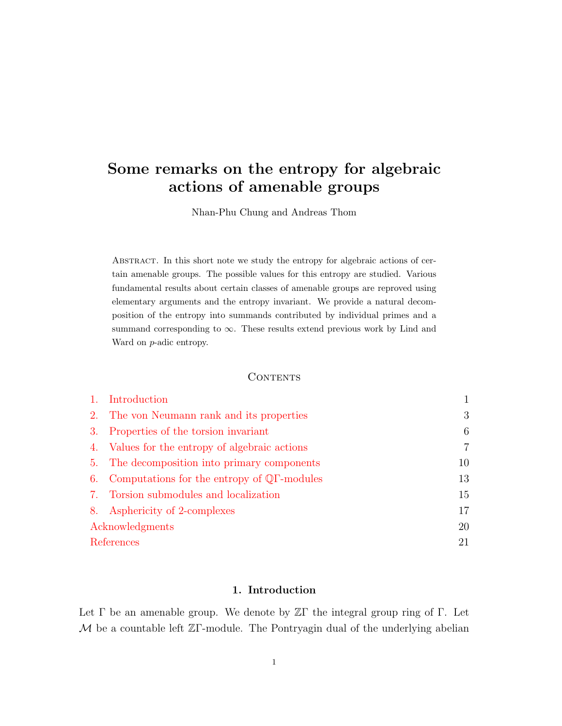## Some remarks on the entropy for algebraic actions of amenable groups

Nhan-Phu Chung and Andreas Thom

Abstract. In this short note we study the entropy for algebraic actions of certain amenable groups. The possible values for this entropy are studied. Various fundamental results about certain classes of amenable groups are reproved using elementary arguments and the entropy invariant. We provide a natural decomposition of the entropy into summands contributed by individual primes and a summand corresponding to  $\infty$ . These results extend previous work by Lind and Ward on p-adic entropy.

#### **CONTENTS**

|                 | Introduction                                                |                |
|-----------------|-------------------------------------------------------------|----------------|
| 2.              | The von Neumann rank and its properties                     | 3              |
| 3.              | Properties of the torsion invariant                         | 6              |
| 4.              | Values for the entropy of algebraic actions                 | $\overline{7}$ |
| 5.              | The decomposition into primary components                   | 10             |
| 6.              | Computations for the entropy of $\mathbb{Q}\Gamma$ -modules | 13             |
| 7.              | Torsion submodules and localization                         | 15             |
| 8.              | Asphericity of 2-complexes                                  | 17             |
| Acknowledgments |                                                             | 20             |
| References      |                                                             | 21             |

#### 1. Introduction

<span id="page-2-0"></span>Let  $\Gamma$  be an amenable group. We denote by  $\mathbb{Z}\Gamma$  the integral group ring of  $\Gamma$ . Let  $M$  be a countable left  $\mathbb{Z}\Gamma$ -module. The Pontryagin dual of the underlying abelian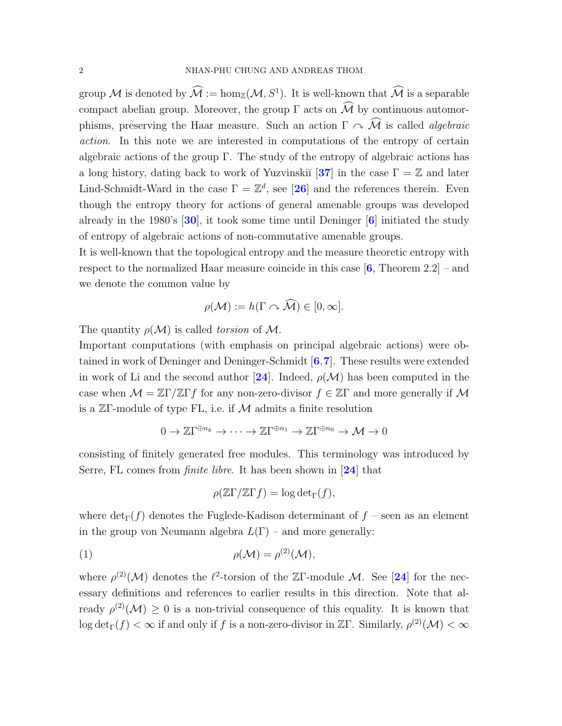group M is denoted by  $\mathcal{M} := \hom_{\mathbb{Z}}(\mathcal{M}, S^1)$ . It is well-known that  $\mathcal{M}$  is a separable compact abelian group. Moreover, the group  $\Gamma$  acts on  $\widehat{\mathcal{M}}$  by continuous automorphisms, preserving the Haar measure. Such an action  $\Gamma \curvearrowright \widehat{\mathcal{M}}$  is called *algebraic* action. In this note we are interested in computations of the entropy of certain algebraic actions of the group Γ. The study of the entropy of algebraic actions has a long history, dating back to work of Yuzvinskiı̆ $[37]$  $[37]$  $[37]$  in the case  $\Gamma = \mathbb{Z}$  and later Lind-Schmidt-Ward in the case  $\Gamma = \mathbb{Z}^d$ , see [[26](#page-23-1)] and the references therein. Even though the entropy theory for actions of general amenable groups was developed already in the 1980's  $[30]$  $[30]$  $[30]$ , it took some time until Deninger  $[6]$  $[6]$  $[6]$  initiated the study of entropy of algebraic actions of non-commutative amenable groups.

It is well-known that the topological entropy and the measure theoretic entropy with respect to the normalized Haar measure coincide in this case  $[6,$  $[6,$  $[6,$  Theorem 2.2] – and we denote the common value by

$$
\rho(\mathcal{M}) := h(\Gamma \cap \widehat{\mathcal{M}}) \in [0, \infty].
$$

The quantity  $\rho(\mathcal{M})$  is called torsion of M.

Important computations (with emphasis on principal algebraic actions) were obtained in work of Deninger and Deninger-Schmidt  $[6,7]$  $[6,7]$  $[6,7]$  $[6,7]$  $[6,7]$ . These results were extended in work of Li and the second author [[24](#page-23-3)]. Indeed,  $\rho(\mathcal{M})$  has been computed in the case when  $\mathcal{M} = \mathbb{Z}\Gamma/\mathbb{Z}\Gamma f$  for any non-zero-divisor  $f \in \mathbb{Z}\Gamma$  and more generally if  $\mathcal M$ is a  $\mathbb{Z}\Gamma$ -module of type FL, i.e. if M admits a finite resolution

$$
0 \to \mathbb{Z}\Gamma^{\oplus n_k} \to \cdots \to \mathbb{Z}\Gamma^{\oplus n_1} \to \mathbb{Z}\Gamma^{\oplus n_0} \to \mathcal{M} \to 0
$$

consisting of finitely generated free modules. This terminology was introduced by Serre, FL comes from *finite libre*. It has been shown in [[24](#page-23-3)] that

<span id="page-3-0"></span>
$$
\rho(\mathbb{Z}\Gamma/\mathbb{Z}\Gamma f) = \log \det_{\Gamma}(f),
$$

where  $\det_{\Gamma}(f)$  denotes the Fuglede-Kadison determinant of  $f$  – seen as an element in the group von Neumann algebra  $L(\Gamma)$  – and more generally:

$$
\rho(\mathcal{M}) = \rho^{(2)}(\mathcal{M}),
$$

where  $\rho^{(2)}(\mathcal{M})$  denotes the  $\ell^2$ -torsion of the ZΓ-module M. See [[24](#page-23-3)] for the necessary definitions and references to earlier results in this direction. Note that already  $\rho^{(2)}(\mathcal{M}) \geq 0$  is a non-trivial consequence of this equality. It is known that log det<sub>Γ</sub>(f) <  $\infty$  if and only if f is a non-zero-divisor in ZΓ. Similarly,  $\rho^{(2)}(\mathcal{M}) < \infty$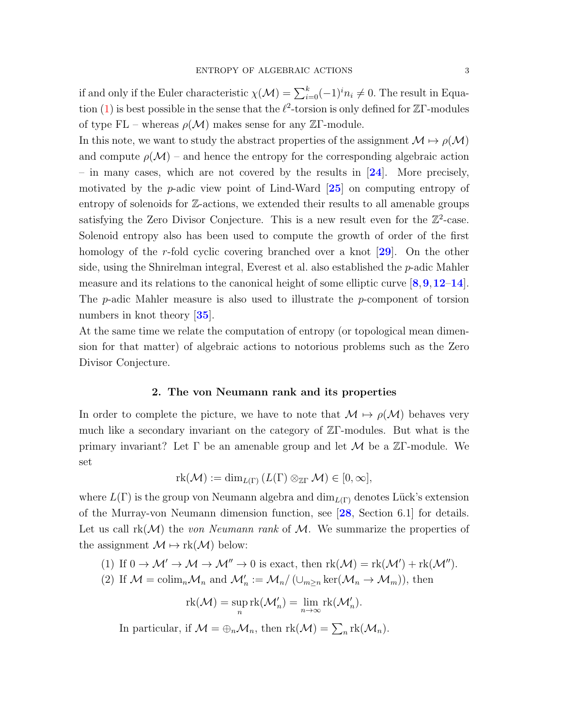if and only if the Euler characteristic  $\chi(\mathcal{M}) = \sum_{i=0}^{k} (-1)^{i} n_i \neq 0$ . The result in Equa-tion [\(1\)](#page-3-0) is best possible in the sense that the  $\ell^2$ -torsion is only defined for ZΓ-modules of type FL – whereas  $\rho(\mathcal{M})$  makes sense for any ZΓ-module.

In this note, we want to study the abstract properties of the assignment  $\mathcal{M} \mapsto \rho(\mathcal{M})$ and compute  $\rho(\mathcal{M})$  – and hence the entropy for the corresponding algebraic action – in many cases, which are not covered by the results in  $[24]$  $[24]$  $[24]$ . More precisely, motivated by the  $p$ -adic view point of Lind-Ward  $[25]$  $[25]$  $[25]$  on computing entropy of entropy of solenoids for Z-actions, we extended their results to all amenable groups satisfying the Zero Divisor Conjecture. This is a new result even for the  $\mathbb{Z}^2$ -case. Solenoid entropy also has been used to compute the growth of order of the first homology of the r-fold cyclic covering branched over a knot  $[29]$  $[29]$  $[29]$ . On the other side, using the Shnirelman integral, Everest et al. also established the  $p$ -adic Mahler measure and its relations to the canonical height of some elliptic curve  $[8,9,12-14]$  $[8,9,12-14]$  $[8,9,12-14]$  $[8,9,12-14]$  $[8,9,12-14]$  $[8,9,12-14]$  $[8,9,12-14]$  $[8,9,12-14]$  $[8,9,12-14]$ . The p-adic Mahler measure is also used to illustrate the p-component of torsion numbers in knot theory [[35](#page-23-6)].

At the same time we relate the computation of entropy (or topological mean dimension for that matter) of algebraic actions to notorious problems such as the Zero Divisor Conjecture.

#### 2. The von Neumann rank and its properties

<span id="page-4-0"></span>In order to complete the picture, we have to note that  $\mathcal{M} \mapsto \rho(\mathcal{M})$  behaves very much like a secondary invariant on the category of ZΓ-modules. But what is the primary invariant? Let  $\Gamma$  be an amenable group and let  $\mathcal M$  be a ZΓ-module. We set

$$
rk(\mathcal{M}) := \dim_{L(\Gamma)} (L(\Gamma) \otimes_{\mathbb{Z}\Gamma} \mathcal{M}) \in [0, \infty],
$$

where  $L(\Gamma)$  is the group von Neumann algebra and  $\dim_{L(\Gamma)}$  denotes Lück's extension of the Murray-von Neumann dimension function, see [[28](#page-23-7), Section 6.1] for details. Let us call  $rk(\mathcal{M})$  the von Neumann rank of M. We summarize the properties of the assignment  $\mathcal{M} \mapsto \text{rk}(\mathcal{M})$  below:

- <span id="page-4-1"></span>(1) If  $0 \to M' \to M \to M'' \to 0$  is exact, then  $\text{rk}(\mathcal{M}) = \text{rk}(\mathcal{M}') + \text{rk}(\mathcal{M}'')$ .
- (2) If  $\mathcal{M} = \text{colim}_n \mathcal{M}_n$  and  $\mathcal{M}'_n := \mathcal{M}_n / (\cup_{m \geq n} \ker(\mathcal{M}_n \to \mathcal{M}_m))$ , then

$$
\mathrm{rk}(\mathcal{M})=\sup_n \mathrm{rk}(\mathcal{M}'_n)=\lim_{n\to\infty} \mathrm{rk}(\mathcal{M}'_n).
$$

In particular, if  $\mathcal{M} = \bigoplus_n \mathcal{M}_n$ , then  $\text{rk}(\mathcal{M}) = \sum_n \text{rk}(\mathcal{M}_n)$ .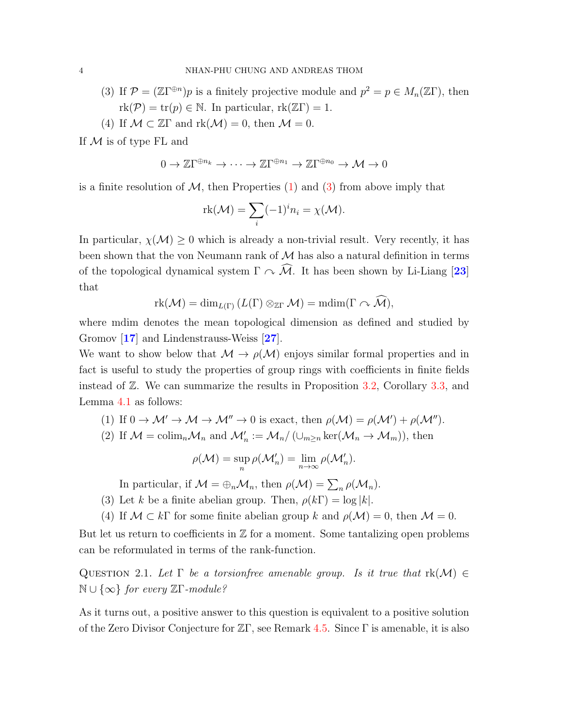- (3) If  $\mathcal{P} = (\mathbb{Z}\Gamma^{\oplus n})p$  is a finitely projective module and  $p^2 = p \in M_n(\mathbb{Z}\Gamma)$ , then  $rk(\mathcal{P}) = tr(p) \in \mathbb{N}$ . In particular,  $rk(\mathbb{Z}\Gamma) = 1$ .
- (4) If  $\mathcal{M} \subset \mathbb{Z}\Gamma$  and  $\text{rk}(\mathcal{M}) = 0$ , then  $\mathcal{M} = 0$ .

If  $M$  is of type FL and

$$
0 \to \mathbb{Z}\Gamma^{\oplus n_k} \to \cdots \to \mathbb{Z}\Gamma^{\oplus n_1} \to \mathbb{Z}\Gamma^{\oplus n_0} \to \mathcal{M} \to 0
$$

is a finite resolution of  $\mathcal{M}$ , then Properties [\(1\)](#page-4-1) and [\(3\)](#page-5-0) from above imply that

$$
\mathrm{rk}(\mathcal{M}) = \sum_{i} (-1)^{i} n_{i} = \chi(\mathcal{M}).
$$

In particular,  $\chi(\mathcal{M}) \geq 0$  which is already a non-trivial result. Very recently, it has been shown that the von Neumann rank of  $M$  has also a natural definition in terms of the topological dynamical system  $\Gamma \curvearrowright \widehat{M}$ . It has been shown by Li-Liang [[23](#page-23-8)] that

$$
\mathrm{rk}(\mathcal{M})=\dim_{L(\Gamma)}(L(\Gamma)\otimes_{\mathbb{Z}\Gamma}\mathcal{M})=\mathrm{mdim}(\Gamma\curvearrowright \widehat{\mathcal{M}}),
$$

where mdim denotes the mean topological dimension as defined and studied by Gromov [[17](#page-22-7)] and Lindenstrauss-Weiss [[27](#page-23-9)].

We want to show below that  $\mathcal{M} \to \rho(\mathcal{M})$  enjoys similar formal properties and in fact is useful to study the properties of group rings with coefficients in finite fields instead of Z. We can summarize the results in Proposition [3.2,](#page-8-1) Corollary [3.3,](#page-8-2) and Lemma [4.1](#page-8-3) as follows:

(1) If 
$$
0 \to M' \to M \to M'' \to 0
$$
 is exact, then  $\rho(M) = \rho(M') + \rho(M'')$ .

(2) If  $\mathcal{M} = \text{colim}_n \mathcal{M}_n$  and  $\mathcal{M}'_n := \mathcal{M}_n / (\cup_{m \geq n} \ker(\mathcal{M}_n \to \mathcal{M}_m))$ , then

$$
\rho(\mathcal{M}) = \sup_{n} \rho(\mathcal{M}'_{n}) = \lim_{n \to \infty} \rho(\mathcal{M}'_{n}).
$$

In particular, if  $\mathcal{M} = \bigoplus_n \mathcal{M}_n$ , then  $\rho(\mathcal{M}) = \sum_n \rho(\mathcal{M}_n)$ .

- <span id="page-5-0"></span>(3) Let k be a finite abelian group. Then,  $\rho(k\Gamma) = \log |k|$ .
- (4) If  $\mathcal{M} \subset k\Gamma$  for some finite abelian group k and  $\rho(\mathcal{M}) = 0$ , then  $\mathcal{M} = 0$ .

But let us return to coefficients in  $\mathbb Z$  for a moment. Some tantalizing open problems can be reformulated in terms of the rank-function.

<span id="page-5-1"></span>QUESTION 2.1. Let  $\Gamma$  be a torsionfree amenable group. Is it true that  $rk(\mathcal{M}) \in$  $\mathbb{N} \cup \{∞\}$  for every  $\mathbb{Z} \Gamma$ -module?

As it turns out, a positive answer to this question is equivalent to a positive solution of the Zero Divisor Conjecture for ZΓ, see Remark [4.5.](#page-11-1) Since Γ is amenable, it is also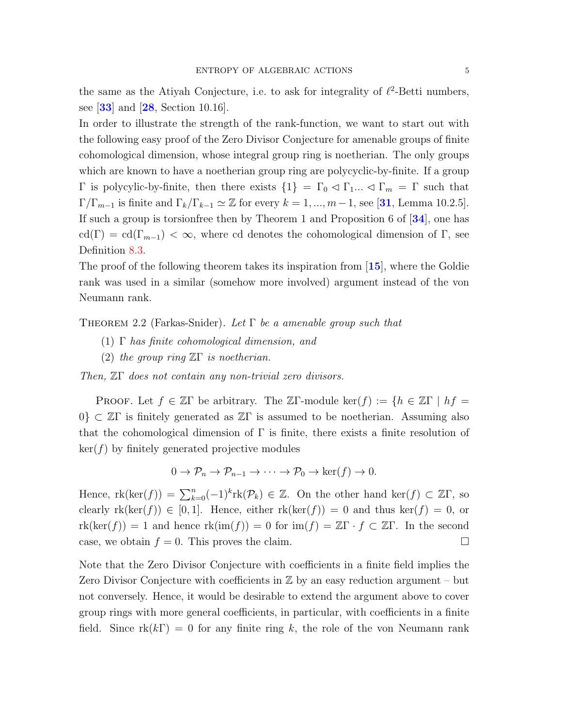the same as the Atiyah Conjecture, i.e. to ask for integrality of  $\ell^2$ -Betti numbers, see  $[33]$  $[33]$  $[33]$  and  $[28]$  $[28]$  $[28]$ , Section 10.16.

In order to illustrate the strength of the rank-function, we want to start out with the following easy proof of the Zero Divisor Conjecture for amenable groups of finite cohomological dimension, whose integral group ring is noetherian. The only groups which are known to have a noetherian group ring are polycyclic-by-finite. If a group  $Γ$  is polycylic-by-finite, then there exists  ${1} = Γ_0 √ Γ_1... √ Γ_m = Γ$  such that  $\Gamma/\Gamma_{m-1}$  is finite and  $\Gamma_k/\Gamma_{k-1} \simeq \mathbb{Z}$  for every  $k = 1, ..., m-1$ , see [[31](#page-23-11), Lemma 10.2.5]. If such a group is torsionfree then by Theorem 1 and Proposition 6 of [[34](#page-23-12)], one has cd(Γ) = cd(Γ<sub>m−1</sub>) <  $\infty$ , where cd denotes the cohomological dimension of Γ, see Definition [8.3.](#page-19-0)

The proof of the following theorem takes its inspiration from [[15](#page-22-8)], where the Goldie rank was used in a similar (somehow more involved) argument instead of the von Neumann rank.

<span id="page-6-0"></span>THEOREM 2.2 (Farkas-Snider). Let  $\Gamma$  be a amenable group such that

- (1) Γ has finite cohomological dimension, and
- (2) the group ring  $\mathbb{Z}\Gamma$  is noetherian.

Then, ZΓ does not contain any non-trivial zero divisors.

PROOF. Let  $f \in \mathbb{Z}\Gamma$  be arbitrary. The  $\mathbb{Z}\Gamma$ -module ker $(f) := \{h \in \mathbb{Z}\Gamma \mid hf =$  $0\} \subset \mathbb{Z}\Gamma$  is finitely generated as  $\mathbb{Z}\Gamma$  is assumed to be noetherian. Assuming also that the cohomological dimension of  $\Gamma$  is finite, there exists a finite resolution of  $\ker(f)$  by finitely generated projective modules

$$
0 \to \mathcal{P}_n \to \mathcal{P}_{n-1} \to \cdots \to \mathcal{P}_0 \to \ker(f) \to 0.
$$

Hence,  $\text{rk}(\text{ker}(f)) = \sum_{k=0}^{n} (-1)^k \text{rk}(\mathcal{P}_k) \in \mathbb{Z}$ . On the other hand  $\text{ker}(f) \subset \mathbb{Z}\Gamma$ , so clearly  $rk(ker(f)) \in [0,1]$ . Hence, either  $rk(ker(f)) = 0$  and thus  $ker(f) = 0$ , or  $rk(ker(f)) = 1$  and hence  $rk(im(f)) = 0$  for  $im(f) = \mathbb{Z}\Gamma \cdot f \subset \mathbb{Z}\Gamma$ . In the second case, we obtain  $f = 0$ . This proves the claim.

Note that the Zero Divisor Conjecture with coefficients in a finite field implies the Zero Divisor Conjecture with coefficients in  $\mathbb Z$  by an easy reduction argument – but not conversely. Hence, it would be desirable to extend the argument above to cover group rings with more general coefficients, in particular, with coefficients in a finite field. Since  $rk(k\Gamma) = 0$  for any finite ring k, the role of the von Neumann rank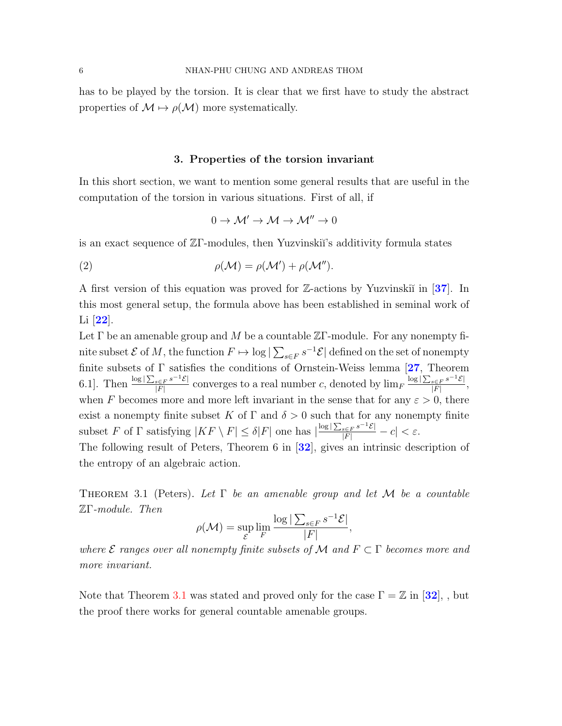has to be played by the torsion. It is clear that we first have to study the abstract properties of  $M \mapsto \rho(M)$  more systematically.

#### 3. Properties of the torsion invariant

<span id="page-7-0"></span>In this short section, we want to mention some general results that are useful in the computation of the torsion in various situations. First of all, if

<span id="page-7-2"></span>
$$
0\to \mathcal{M}'\to \mathcal{M}\to \mathcal{M}''\to 0
$$

is an exact sequence of  $\mathbb{Z}\Gamma$ -modules, then Yuzvinskiı's additivity formula states

(2) 
$$
\rho(\mathcal{M}) = \rho(\mathcal{M}') + \rho(\mathcal{M}'').
$$

A first version of this equation was proved for  $\mathbb{Z}$ -actions by Yuzvinski $\mathbb{Z}$  in [[37](#page-23-0)]. In this most general setup, the formula above has been established in seminal work of Li [[22](#page-23-13)].

Let  $\Gamma$  be an amenable group and M be a countable  $\mathbb{Z}\Gamma$ -module. For any nonempty finite subset  $\mathcal E$  of  $M$ , the function  $F \mapsto \log |\sum_{s \in F} s^{-1} \mathcal E|$  defined on the set of nonempty finite subsets of  $\Gamma$  satisfies the conditions of Ornstein-Weiss lemma [[27](#page-23-9), Theorem 6.1]. Then  $\frac{\log |\sum_{s\in F} s^{-1}\mathcal{E}|}{|F|}$  $\frac{s \in F}{|F|}$  converges to a real number c, denoted by  $\lim_{F} \frac{\log |\sum_{s \in F} s^{-1} \mathcal{E}|}{|F|}$  $\frac{s \in F}{{\vert F \vert}}^s \frac{c}{\vert},$ when F becomes more and more left invariant in the sense that for any  $\varepsilon > 0$ , there exist a nonempty finite subset K of  $\Gamma$  and  $\delta > 0$  such that for any nonempty finite subset F of  $\Gamma$  satisfying  $|KF \setminus F| \leq \delta|F|$  one has  $|\frac{\log|\sum_{s \in F} s^{-1}E|}{|F|} - c| < \varepsilon$ .

The following result of Peters, Theorem 6 in [[32](#page-23-14)], gives an intrinsic description of the entropy of an algebraic action.

<span id="page-7-1"></span>THEOREM 3.1 (Peters). Let  $\Gamma$  be an amenable group and let M be a countable ZΓ-module. Then

$$
\rho(\mathcal{M}) = \sup_{\mathcal{E}} \lim_{F} \frac{\log |\sum_{s \in F} s^{-1} \mathcal{E}|}{|F|},
$$

where  $\mathcal E$  ranges over all nonempty finite subsets of M and  $F \subset \Gamma$  becomes more and more invariant.

Note that Theorem [3.1](#page-7-1) was stated and proved only for the case  $\Gamma = \mathbb{Z}$  in [[32](#page-23-14)], , but the proof there works for general countable amenable groups.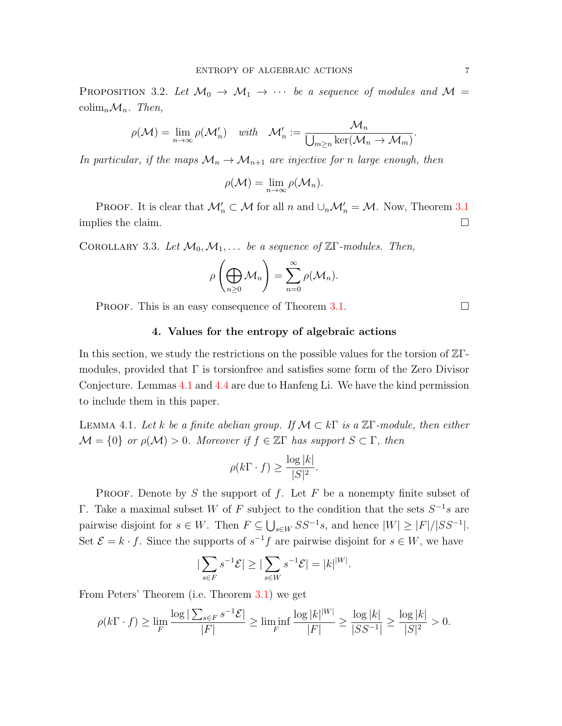<span id="page-8-1"></span>PROPOSITION 3.2. Let  $\mathcal{M}_0 \to \mathcal{M}_1 \to \cdots$  be a sequence of modules and  $\mathcal{M} =$ colim<sub>n</sub> $\mathcal{M}_n$ . Then,

$$
\rho(\mathcal{M}) = \lim_{n \to \infty} \rho(\mathcal{M}'_n) \quad \text{with} \quad \mathcal{M}'_n := \frac{\mathcal{M}_n}{\bigcup_{m \ge n} \ker(\mathcal{M}_n \to \mathcal{M}_m)}
$$

In particular, if the maps  $\mathcal{M}_n \to \mathcal{M}_{n+1}$  are injective for n large enough, then

$$
\rho(\mathcal{M}) = \lim_{n \to \infty} \rho(\mathcal{M}_n).
$$

PROOF. It is clear that  $\mathcal{M}'_n \subset \mathcal{M}$  for all n and  $\cup_n \mathcal{M}'_n = \mathcal{M}$ . Now, Theorem [3.1](#page-7-1) implies the claim.  $\Box$ 

<span id="page-8-2"></span>COROLLARY 3.3. Let  $\mathcal{M}_0, \mathcal{M}_1, \ldots$  be a sequence of  $\mathbb{Z}\Gamma$ -modules. Then,

$$
\rho\left(\bigoplus_{n\geq 0} \mathcal{M}_n\right) = \sum_{n=0}^{\infty} \rho(\mathcal{M}_n).
$$

<span id="page-8-0"></span>PROOF. This is an easy consequence of Theorem [3.1.](#page-7-1)  $\Box$ 

#### 4. Values for the entropy of algebraic actions

In this section, we study the restrictions on the possible values for the torsion of ZΓmodules, provided that  $\Gamma$  is torsionfree and satisfies some form of the Zero Divisor Conjecture. Lemmas [4.1](#page-8-3) and [4.4](#page-9-0) are due to Hanfeng Li. We have the kind permission to include them in this paper.

<span id="page-8-3"></span>LEMMA 4.1. Let k be a finite abelian group. If  $\mathcal{M} \subset k\Gamma$  is a  $\mathbb{Z}\Gamma$ -module, then either  $\mathcal{M} = \{0\}$  or  $\rho(\mathcal{M}) > 0$ . Moreover if  $f \in \mathbb{Z}\Gamma$  has support  $S \subset \Gamma$ , then

$$
\rho(k\Gamma \cdot f) \ge \frac{\log |k|}{|S|^2}.
$$

PROOF. Denote by S the support of f. Let  $F$  be a nonempty finite subset of Γ. Take a maximal subset W of F subject to the condition that the sets  $S^{-1}s$  are pairwise disjoint for  $s \in W$ . Then  $F \subseteq \bigcup_{s \in W} SS^{-1}s$ , and hence  $|W| \geq |F|/|SS^{-1}|$ . Set  $\mathcal{E} = k \cdot f$ . Since the supports of  $s^{-1}f$  are pairwise disjoint for  $s \in W$ , we have

$$
\left|\sum_{s\in F}s^{-1}\mathcal{E}\right|\geq \left|\sum_{s\in W}s^{-1}\mathcal{E}\right| = |k|^{|W|}.
$$

From Peters' Theorem (i.e. Theorem [3.1\)](#page-7-1) we get

$$
\rho(k\Gamma \cdot f) \ge \lim_F \frac{\log |\sum_{s \in F} s^{-1} \mathcal{E}|}{|F|} \ge \liminf_F \frac{\log |k|^{|W|}}{|F|} \ge \frac{\log |k|}{|SS^{-1}|} \ge \frac{\log |k|}{|S|^2} > 0.
$$

.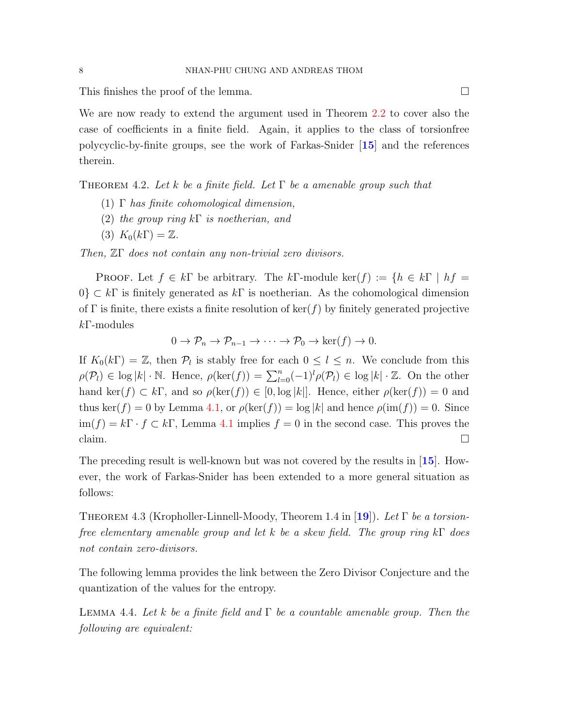This finishes the proof of the lemma.

We are now ready to extend the argument used in Theorem [2.2](#page-6-0) to cover also the case of coefficients in a finite field. Again, it applies to the class of torsionfree polycyclic-by-finite groups, see the work of Farkas-Snider [[15](#page-22-8)] and the references therein.

<span id="page-9-2"></span>THEOREM 4.2. Let k be a finite field. Let  $\Gamma$  be a amenable group such that

- (1)  $\Gamma$  has finite cohomological dimension,
- (2) the group ring  $k\Gamma$  is noetherian, and
- $(3) K_0(k\Gamma) = \mathbb{Z}.$

Then, ZΓ does not contain any non-trivial zero divisors.

PROOF. Let  $f \in k\Gamma$  be arbitrary. The  $k\Gamma$ -module ker $(f) := \{h \in k\Gamma \mid hf =$  $0\} \subset k\Gamma$  is finitely generated as  $k\Gamma$  is noetherian. As the cohomological dimension of Γ is finite, there exists a finite resolution of ker(f) by finitely generated projective  $k$ F-modules

$$
0 \to \mathcal{P}_n \to \mathcal{P}_{n-1} \to \cdots \to \mathcal{P}_0 \to \ker(f) \to 0.
$$

If  $K_0(k\Gamma) = \mathbb{Z}$ , then  $\mathcal{P}_l$  is stably free for each  $0 \leq l \leq n$ . We conclude from this  $\rho(\mathcal{P}_l) \in \log |k| \cdot \mathbb{N}$ . Hence,  $\rho(\ker(f)) = \sum_{l=0}^n (-1)^l \rho(\mathcal{P}_l) \in \log |k| \cdot \mathbb{Z}$ . On the other hand ker(f)  $\subset k\Gamma$ , and so  $\rho(\ker(f)) \in [0, \log |k|]$ . Hence, either  $\rho(\ker(f)) = 0$  and thus ker(f) = 0 by Lemma [4.1,](#page-8-3) or  $\rho(\ker(f)) = \log |k|$  and hence  $\rho(\text{im}(f)) = 0$ . Since  $\lim(f) = k \Gamma \cdot f \subset k \Gamma$ , Lemma [4.1](#page-8-3) implies  $f = 0$  in the second case. This proves the claim.  $\Box$ 

The preceding result is well-known but was not covered by the results in [[15](#page-22-8)]. However, the work of Farkas-Snider has been extended to a more general situation as follows:

<span id="page-9-1"></span>THEOREM 4.3 (Kropholler-Linnell-Moody, Theorem 1.4 in [[19](#page-22-9)]). Let  $\Gamma$  be a torsionfree elementary amenable group and let k be a skew field. The group ring k $\Gamma$  does not contain zero-divisors.

The following lemma provides the link between the Zero Divisor Conjecture and the quantization of the values for the entropy.

<span id="page-9-0"></span>LEMMA 4.4. Let k be a finite field and  $\Gamma$  be a countable amenable group. Then the following are equivalent: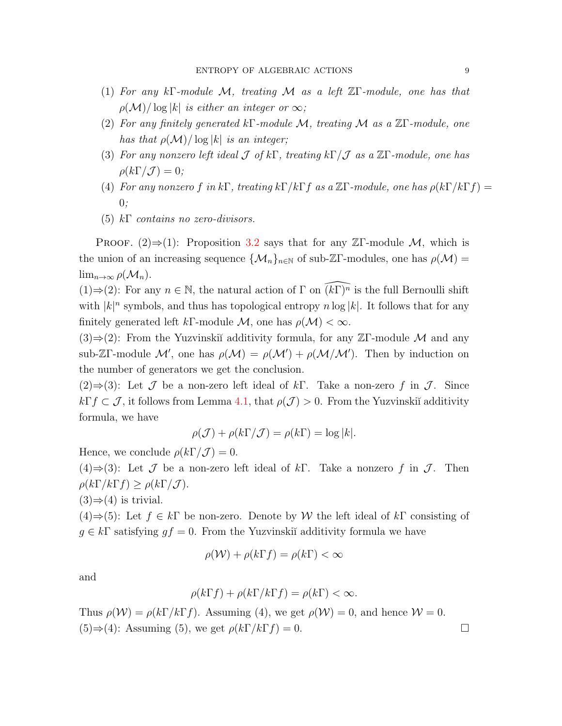- (1) For any kΓ-module M, treating M as a left  $\mathbb{Z}[\Gamma]$ -module, one has that  $\rho(\mathcal{M})/\log|k|$  is either an integer or  $\infty$ ;
- (2) For any finitely generated kΓ-module M, treating M as a  $\mathbb{Z} \Gamma$ -module, one has that  $\rho(\mathcal{M})/\log|k|$  is an integer;
- (3) For any nonzero left ideal  $\mathcal J$  of kΓ, treating kΓ/ $\mathcal J$  as a ZΓ-module, one has  $\rho(k\Gamma/\mathcal{J})=0;$
- (4) For any nonzero f in kΓ, treating  $k\Gamma/k\Gamma f$  as a  $\mathbb{Z}\Gamma$ -module, one has  $\rho(k\Gamma/k\Gamma f) =$  $0:$
- (5)  $k\Gamma$  contains no zero-divisors.

PROOF.  $(2) \Rightarrow (1)$ : Proposition [3.2](#page-8-1) says that for any ZΓ-module M, which is the union of an increasing sequence  $\{\mathcal{M}_n\}_{n\in\mathbb{N}}$  of sub-ZΓ-modules, one has  $\rho(\mathcal{M}) =$  $\lim_{n\to\infty}\rho(\mathcal{M}_n).$ 

(1)⇒(2): For any  $n \in \mathbb{N}$ , the natural action of  $\Gamma$  on  $\widehat{(k\Gamma)^n}$  is the full Bernoulli shift with  $|k|^n$  symbols, and thus has topological entropy  $n \log |k|$ . It follows that for any finitely generated left kΓ-module M, one has  $\rho(\mathcal{M}) < \infty$ .

 $(3) \Rightarrow (2)$ : From the Yuzvinskiĭ additivity formula, for any ZΓ-module M and any sub-ZΓ-module M', one has  $\rho(M) = \rho(M') + \rho(M/M')$ . Then by induction on the number of generators we get the conclusion.

 $(2) \Rightarrow (3)$ : Let  $\mathcal J$  be a non-zero left ideal of kΓ. Take a non-zero f in  $\mathcal J$ . Since  $k\Gamma f\subset\mathcal{J}$ , it follows from Lemma [4.1,](#page-8-3) that  $\rho(\mathcal{J})>0$ . From the Yuzvinskiı̆ additivity formula, we have

$$
\rho(\mathcal{J}) + \rho(k\Gamma/\mathcal{J}) = \rho(k\Gamma) = \log|k|.
$$

Hence, we conclude  $\rho(k\Gamma/\mathcal{J})=0$ .

(4)⇒(3): Let  $\mathcal J$  be a non-zero left ideal of kΓ. Take a nonzero f in  $\mathcal J$ . Then  $\rho(k\Gamma/k\Gamma f) \geq \rho(k\Gamma/\mathcal{J}).$ 

$$
(3) \Rightarrow (4)
$$
 is trivial.

 $(4) \Rightarrow (5)$ : Let  $f \in k\Gamma$  be non-zero. Denote by W the left ideal of  $k\Gamma$  consisting of  $g \in k\Gamma$  satisfying  $gf = 0$ . From the Yuzvinski<sub>v</sub> additivity formula we have

$$
\rho(\mathcal{W}) + \rho(k\Gamma f) = \rho(k\Gamma) < \infty
$$

and

$$
\rho(k\Gamma f) + \rho(k\Gamma/k\Gamma f) = \rho(k\Gamma) < \infty.
$$

Thus  $\rho(\mathcal{W}) = \rho(k\Gamma/k\Gamma f)$ . Assuming (4), we get  $\rho(\mathcal{W}) = 0$ , and hence  $\mathcal{W} = 0$ .  $(5) \Rightarrow (4)$ : Assuming (5), we get  $\rho(k\Gamma/k\Gamma f) = 0$ .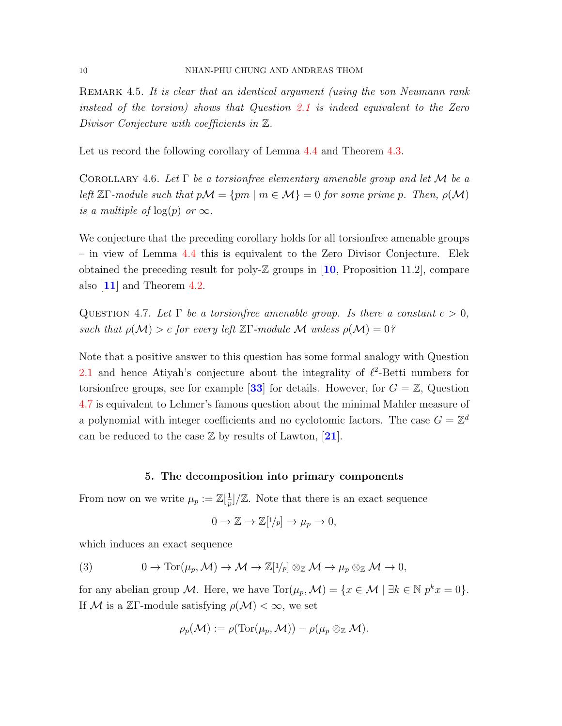<span id="page-11-1"></span>REMARK 4.5. It is clear that an identical argument (using the von Neumann rank instead of the torsion) shows that Question [2.1](#page-5-1) is indeed equivalent to the Zero Divisor Conjecture with coefficients in Z.

Let us record the following corollary of Lemma [4.4](#page-9-0) and Theorem [4.3.](#page-9-1)

COROLLARY 4.6. Let  $\Gamma$  be a torsion free elementary amenable group and let M be a left  $\mathbb{Z}\Gamma$ -module such that  $p\mathcal{M} = \{pm \mid m \in \mathcal{M}\}=0$  for some prime p. Then,  $p(\mathcal{M})$ is a multiple of  $log(p)$  or  $\infty$ .

We conjecture that the preceding corollary holds for all torsionfree amenable groups – in view of Lemma [4.4](#page-9-0) this is equivalent to the Zero Divisor Conjecture. Elek obtained the preceding result for poly- $\mathbb Z$  groups in [[10](#page-22-10), Proposition 11.2], compare also [[11](#page-22-11)] and Theorem [4.2.](#page-9-2)

<span id="page-11-2"></span>QUESTION 4.7. Let  $\Gamma$  be a torsionfree amenable group. Is there a constant  $c > 0$ , such that  $\rho(\mathcal{M}) > c$  for every left  $\mathbb{Z}\Gamma$ -module M unless  $\rho(\mathcal{M}) = 0$ ?

Note that a positive answer to this question has some formal analogy with Question [2.1](#page-5-1) and hence Atiyah's conjecture about the integrality of  $\ell^2$ -Betti numbers for torsionfree groups, see for example [[33](#page-23-10)] for details. However, for  $G = \mathbb{Z}$ , Question [4.7](#page-11-2) is equivalent to Lehmer's famous question about the minimal Mahler measure of a polynomial with integer coefficients and no cyclotomic factors. The case  $G = \mathbb{Z}^d$ can be reduced to the case  $\mathbb Z$  by results of Lawton, [[21](#page-23-15)].

#### 5. The decomposition into primary components

<span id="page-11-0"></span>From now on we write  $\mu_p := \mathbb{Z}[\frac{1}{n}]$  $\frac{1}{p}$ /Z. Note that there is an exact sequence

$$
0 \to \mathbb{Z} \to \mathbb{Z}[1/p] \to \mu_p \to 0,
$$

which induces an exact sequence

<span id="page-11-3"></span>(3) 
$$
0 \to \text{Tor}(\mu_p, \mathcal{M}) \to \mathcal{M} \to \mathbb{Z}[1/p] \otimes_{\mathbb{Z}} \mathcal{M} \to \mu_p \otimes_{\mathbb{Z}} \mathcal{M} \to 0,
$$

for any abelian group M. Here, we have  $Tor(\mu_p, \mathcal{M}) = \{x \in \mathcal{M} \mid \exists k \in \mathbb{N} \ p^k x = 0\}.$ If M is a ZΓ-module satisfying  $\rho(\mathcal{M}) < \infty$ , we set

$$
\rho_p(\mathcal{M}) := \rho(\text{Tor}(\mu_p, \mathcal{M})) - \rho(\mu_p \otimes_{\mathbb{Z}} \mathcal{M}).
$$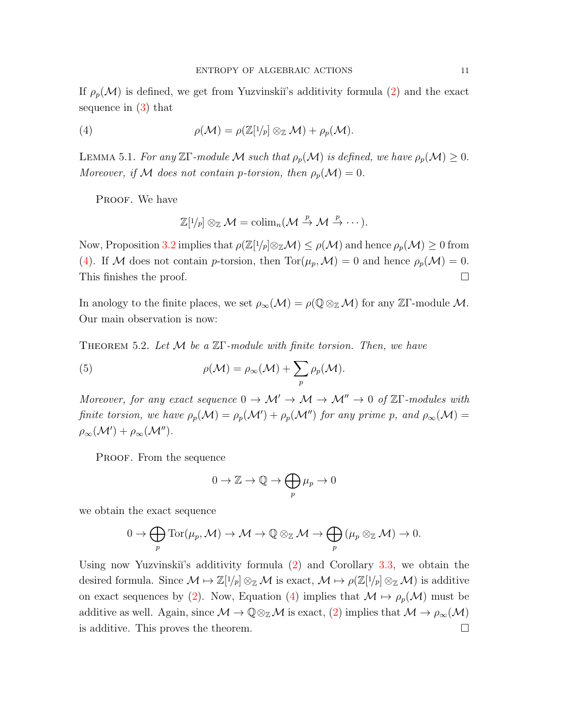If  $\rho_p(\mathcal{M})$  is defined, we get from Yuzvinski<sup>'</sup>s additivity formula [\(2\)](#page-7-2) and the exact sequence in [\(3\)](#page-11-3) that

(4) 
$$
\rho(\mathcal{M}) = \rho(\mathbb{Z}[1/p] \otimes_{\mathbb{Z}} \mathcal{M}) + \rho_p(\mathcal{M}).
$$

<span id="page-12-1"></span>LEMMA 5.1. For any ZΓ-module M such that  $\rho_p(\mathcal{M})$  is defined, we have  $\rho_p(\mathcal{M}) \geq 0$ . Moreover, if M does not contain p-torsion, then  $\rho_p(\mathcal{M}) = 0$ .

PROOF. We have

<span id="page-12-0"></span>
$$
\mathbb{Z}[1/p] \otimes_{\mathbb{Z}} \mathcal{M} = \mathrm{colim}_{n}(\mathcal{M} \stackrel{p}{\to} \mathcal{M} \stackrel{p}{\to} \cdots).
$$

Now, Proposition [3.2](#page-8-1) implies that  $\rho(\mathbb{Z}[1/p]\otimes_{\mathbb{Z}}\mathcal{M})\leq \rho(\mathcal{M})$  and hence  $\rho_p(\mathcal{M})\geq 0$  from [\(4\)](#page-12-0). If M does not contain p-torsion, then  $\text{Tor}(\mu_p,\mathcal{M})=0$  and hence  $\rho_p(\mathcal{M})=0$ . This finishes the proof.  $\Box$ 

In anology to the finite places, we set  $\rho_{\infty}(\mathcal{M}) = \rho(\mathbb{Q} \otimes_{\mathbb{Z}} \mathcal{M})$  for any ZΓ-module M. Our main observation is now:

<span id="page-12-2"></span>THEOREM 5.2. Let  $M$  be a  $\mathbb{Z}\Gamma$ -module with finite torsion. Then, we have

(5) 
$$
\rho(\mathcal{M}) = \rho_{\infty}(\mathcal{M}) + \sum_{p} \rho_{p}(\mathcal{M}).
$$

Moreover, for any exact sequence  $0 \to \mathcal{M}' \to \mathcal{M} \to \mathcal{M}'' \to 0$  of  $\mathbb{Z}\Gamma$ -modules with finite torsion, we have  $\rho_p(\mathcal{M}) = \rho_p(\mathcal{M}') + \rho_p(\mathcal{M}'')$  for any prime p, and  $\rho_\infty(\mathcal{M}) =$  $\rho_{\infty}(\mathcal{M}') + \rho_{\infty}(\mathcal{M}'').$ 

PROOF. From the sequence

$$
0 \to \mathbb{Z} \to \mathbb{Q} \to \bigoplus_{p} \mu_p \to 0
$$

we obtain the exact sequence

$$
0 \to \bigoplus_{p} \text{Tor}(\mu_{p}, \mathcal{M}) \to \mathcal{M} \to \mathbb{Q} \otimes_{\mathbb{Z}} \mathcal{M} \to \bigoplus_{p} (\mu_{p} \otimes_{\mathbb{Z}} \mathcal{M}) \to 0.
$$

Using now Yuzvinski<sup> $\gamma$ </sup>'s additivity formula [\(2\)](#page-7-2) and Corollary [3.3,](#page-8-2) we obtain the desired formula. Since  $\mathcal{M} \mapsto \mathbb{Z}[1/p] \otimes_{\mathbb{Z}} \mathcal{M}$  is exact,  $\mathcal{M} \mapsto \rho(\mathbb{Z}[1/p] \otimes_{\mathbb{Z}} \mathcal{M})$  is additive on exact sequences by [\(2\)](#page-7-2). Now, Equation [\(4\)](#page-12-0) implies that  $\mathcal{M} \mapsto \rho_p(\mathcal{M})$  must be additive as well. Again, since  $\mathcal{M} \to \mathbb{Q} \otimes_{\mathbb{Z}} \mathcal{M}$  is exact, [\(2\)](#page-7-2) implies that  $\mathcal{M} \to \rho_{\infty}(\mathcal{M})$ is additive. This proves the theorem.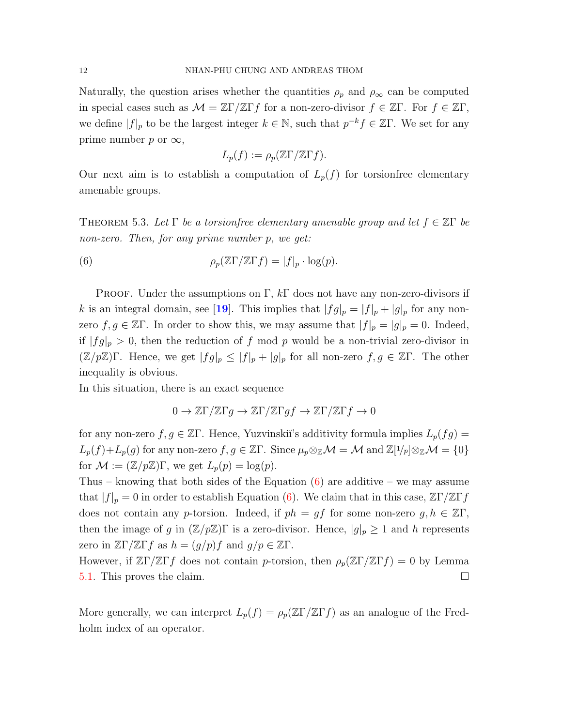Naturally, the question arises whether the quantities  $\rho_p$  and  $\rho_\infty$  can be computed in special cases such as  $\mathcal{M} = \mathbb{Z}\Gamma/\mathbb{Z}\Gamma f$  for a non-zero-divisor  $f \in \mathbb{Z}\Gamma$ . For  $f \in \mathbb{Z}\Gamma$ , we define  $|f|_p$  to be the largest integer  $k \in \mathbb{N}$ , such that  $p^{-k} f \in \mathbb{Z}\Gamma$ . We set for any prime number p or  $\infty$ ,

<span id="page-13-0"></span>
$$
L_p(f) := \rho_p(\mathbb{Z}\Gamma/\mathbb{Z}\Gamma f).
$$

Our next aim is to establish a computation of  $L_p(f)$  for torsion free elementary amenable groups.

THEOREM 5.3. Let  $\Gamma$  be a torsion free elementary amenable group and let  $f \in \mathbb{Z}\Gamma$  be non-zero. Then, for any prime number p, we get:

(6) 
$$
\rho_p(\mathbb{Z}\Gamma/\mathbb{Z}\Gamma f) = |f|_p \cdot \log(p).
$$

**PROOF.** Under the assumptions on  $\Gamma$ ,  $k\Gamma$  does not have any non-zero-divisors if k is an integral domain, see [[19](#page-22-9)]. This implies that  $|fg|_p = |f|_p + |g|_p$  for any nonzero  $f, g \in \mathbb{Z}\Gamma$ . In order to show this, we may assume that  $|f|_p = |g|_p = 0$ . Indeed, if  $|fg|_p > 0$ , then the reduction of f mod p would be a non-trivial zero-divisor in  $(\mathbb{Z}/p\mathbb{Z})\Gamma$ . Hence, we get  $|fg|_p \leq |f|_p + |g|_p$  for all non-zero  $f, g \in \mathbb{Z}\Gamma$ . The other inequality is obvious.

In this situation, there is an exact sequence

$$
0 \to \mathbb{Z}\Gamma/\mathbb{Z}\Gamma g \to \mathbb{Z}\Gamma/\mathbb{Z}\Gamma gf \to \mathbb{Z}\Gamma/\mathbb{Z}\Gamma f \to 0
$$

for any non-zero  $f, g \in \mathbb{Z}\Gamma$ . Hence, Yuzvinskii's additivity formula implies  $L_p(fg)$  =  $L_p(f)+L_p(g)$  for any non-zero  $f, g \in \mathbb{Z}\Gamma$ . Since  $\mu_p \otimes_{\mathbb{Z}} \mathcal{M} = \mathcal{M}$  and  $\mathbb{Z}[1/p] \otimes_{\mathbb{Z}} \mathcal{M} = \{0\}$ for  $\mathcal{M} := (\mathbb{Z}/p\mathbb{Z})\Gamma$ , we get  $L_p(p) = \log(p)$ .

Thus – knowing that both sides of the Equation  $(6)$  are additive – we may assume that  $|f|_p = 0$  in order to establish Equation [\(6\)](#page-13-0). We claim that in this case,  $\mathbb{Z}\Gamma/\mathbb{Z}\Gamma f$ does not contain any p-torsion. Indeed, if  $ph = gf$  for some non-zero  $g, h \in \mathbb{Z}\Gamma$ , then the image of g in  $(\mathbb{Z}/p\mathbb{Z})\Gamma$  is a zero-divisor. Hence,  $|g|_p \geq 1$  and h represents zero in  $\mathbb{Z}\Gamma/\mathbb{Z}\Gamma f$  as  $h = (g/p)f$  and  $g/p \in \mathbb{Z}\Gamma$ .

However, if  $\mathbb{Z}\Gamma/\mathbb{Z}\Gamma f$  does not contain p-torsion, then  $\rho_p(\mathbb{Z}\Gamma/\mathbb{Z}\Gamma f) = 0$  by Lemma [5.1.](#page-12-1) This proves the claim.

More generally, we can interpret  $L_p(f) = \rho_p(\mathbb{Z}\Gamma/\mathbb{Z}\Gamma f)$  as an analogue of the Fredholm index of an operator.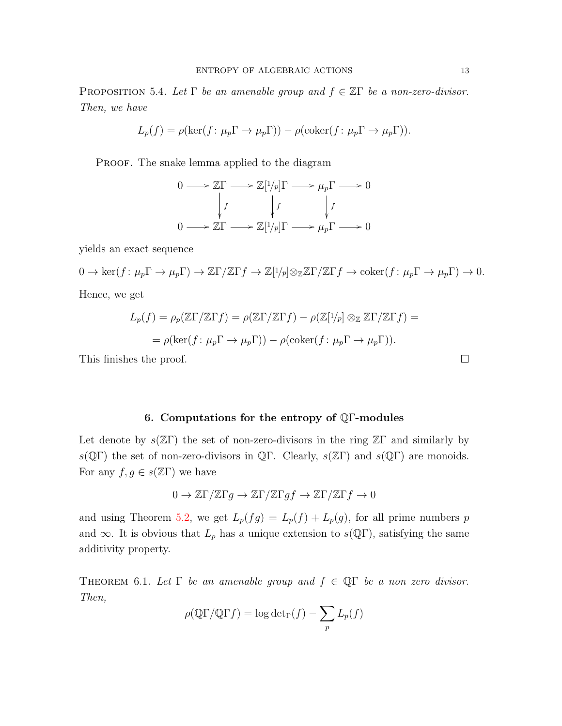PROPOSITION 5.4. Let  $\Gamma$  be an amenable group and  $f \in \mathbb{Z}\Gamma$  be a non-zero-divisor. Then, we have

$$
L_p(f) = \rho(\ker(f: \mu_p \Gamma \to \mu_p \Gamma)) - \rho(\text{coker}(f: \mu_p \Gamma \to \mu_p \Gamma)).
$$

PROOF. The snake lemma applied to the diagram

$$
0 \longrightarrow \mathbb{Z}\Gamma \longrightarrow \mathbb{Z}[1/p]\Gamma \longrightarrow \mu_p \Gamma \longrightarrow 0
$$
  
\n
$$
\downarrow f \qquad \qquad \downarrow f \qquad \qquad \downarrow f
$$
  
\n
$$
0 \longrightarrow \mathbb{Z}\Gamma \longrightarrow \mathbb{Z}[1/p]\Gamma \longrightarrow \mu_p \Gamma \longrightarrow 0
$$

yields an exact sequence

$$
0 \to \ker(f \colon \mu_p \Gamma \to \mu_p \Gamma) \to \mathbb{Z}\Gamma/\mathbb{Z}\Gamma f \to \mathbb{Z}[1/p] \otimes_{\mathbb{Z}} \mathbb{Z}\Gamma/\mathbb{Z}\Gamma f \to \mathrm{coker}(f \colon \mu_p \Gamma \to \mu_p \Gamma) \to 0.
$$
  
Hence, we get

Hence, we get

$$
L_p(f) = \rho_p(\mathbb{Z}\Gamma/\mathbb{Z}\Gamma f) = \rho(\mathbb{Z}\Gamma/\mathbb{Z}\Gamma f) - \rho(\mathbb{Z}[1/p] \otimes_{\mathbb{Z}} \mathbb{Z}\Gamma/\mathbb{Z}\Gamma f) =
$$
  
=  $\rho(\ker(f : \mu_p \Gamma \to \mu_p \Gamma)) - \rho(\text{coker}(f : \mu_p \Gamma \to \mu_p \Gamma)).$ 

This finishes the proof.

#### 6. Computations for the entropy of QΓ-modules

<span id="page-14-0"></span>Let denote by  $s(\mathbb{Z}\Gamma)$  the set of non-zero-divisors in the ring  $\mathbb{Z}\Gamma$  and similarly by  $s(\mathbb{Q}\Gamma)$  the set of non-zero-divisors in  $\mathbb{Q}\Gamma$ . Clearly,  $s(\mathbb{Z}\Gamma)$  and  $s(\mathbb{Q}\Gamma)$  are monoids. For any  $f, g \in s(\mathbb{Z}\Gamma)$  we have

$$
0 \to \mathbb{Z}\Gamma/\mathbb{Z}\Gamma g \to \mathbb{Z}\Gamma/\mathbb{Z}\Gamma gf \to \mathbb{Z}\Gamma/\mathbb{Z}\Gamma f \to 0
$$

and using Theorem [5.2,](#page-12-2) we get  $L_p(fg) = L_p(f) + L_p(g)$ , for all prime numbers p and  $\infty$ . It is obvious that  $L_p$  has a unique extension to  $s(\mathbb{Q}\Gamma)$ , satisfying the same additivity property.

<span id="page-14-1"></span>THEOREM 6.1. Let  $\Gamma$  be an amenable group and  $f \in \mathbb{Q}\Gamma$  be a non zero divisor. Then,

$$
\rho(\mathbb{Q}\Gamma/\mathbb{Q}\Gamma f) = \log \det_{\Gamma}(f) - \sum_{p} L_p(f)
$$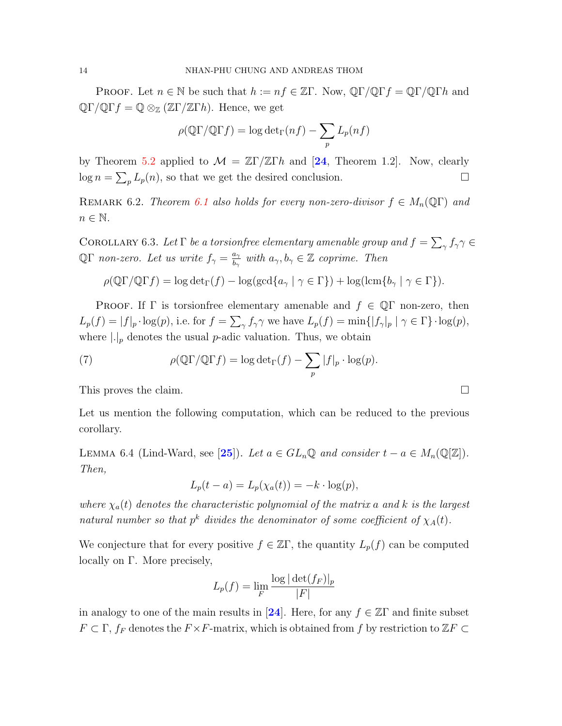**PROOF.** Let  $n \in \mathbb{N}$  be such that  $h := nf \in \mathbb{Z}\Gamma$ . Now,  $\mathbb{Q}\Gamma/\mathbb{Q}\Gamma f = \mathbb{Q}\Gamma/\mathbb{Q}\Gamma h$  and  $\mathbb{Q}\Gamma/\mathbb{Q}\Gamma f = \mathbb{Q} \otimes_{\mathbb{Z}} (\mathbb{Z}\Gamma/\mathbb{Z}\Gamma h)$ . Hence, we get

$$
\rho(\mathbb{Q}\Gamma/\mathbb{Q}\Gamma f) = \log \det_{\Gamma}(nf) - \sum_{p} L_p(nf)
$$

by Theorem [5.2](#page-12-2) applied to  $\mathcal{M} = \mathbb{Z}\Gamma/\mathbb{Z}\Gamma h$  and [[24](#page-23-3), Theorem 1.2]. Now, clearly  $\log n = \sum_{p} L_p(n)$ , so that we get the desired conclusion.

REMARK 6.2. Theorem [6.1](#page-14-1) also holds for every non-zero-divisor  $f \in M_n(\mathbb{Q}\Gamma)$  and  $n \in \mathbb{N}$ .

COROLLARY 6.3. Let  $\Gamma$  be a torsion free elementary amenable group and  $f = \sum_{\gamma} f_{\gamma} \gamma \in$ QΓ non-zero. Let us write  $f_{\gamma} = \frac{a_{\gamma}}{b_{\gamma}}$  $\frac{a_{\gamma}}{b_{\gamma}}$  with  $a_{\gamma}, b_{\gamma} \in \mathbb{Z}$  coprime. Then

$$
\rho(\mathbb{Q}\Gamma/\mathbb{Q}\Gamma f) = \log \det_{\Gamma}(f) - \log(\gcd\{a_{\gamma} \mid \gamma \in \Gamma\}) + \log(\operatorname{lcm}\{b_{\gamma} \mid \gamma \in \Gamma\}).
$$

**PROOF.** If  $\Gamma$  is torsionfree elementary amenable and  $f \in \mathbb{Q}\Gamma$  non-zero, then  $L_p(f) = |f|_p \cdot \log(p)$ , i.e. for  $f = \sum_{\gamma} f_{\gamma} \gamma$  we have  $L_p(f) = \min\{|f_{\gamma}|_p \mid \gamma \in \Gamma\} \cdot \log(p)$ , where  $\lfloor \cdot \rfloor_p$  denotes the usual *p*-adic valuation. Thus, we obtain

(7) 
$$
\rho(\mathbb{Q}\Gamma/\mathbb{Q}\Gamma f) = \log \det_{\Gamma}(f) - \sum_{p} |f|_{p} \cdot \log(p).
$$

This proves the claim.

Let us mention the following computation, which can be reduced to the previous corollary.

LEMMA 6.4 (Lind-Ward, see [[25](#page-23-4)]). Let  $a \in GL_n\mathbb{Q}$  and consider  $t - a \in M_n(\mathbb{Q}[\mathbb{Z}]).$ Then,

$$
L_p(t-a) = L_p(\chi_a(t)) = -k \cdot \log(p),
$$

where  $\chi_a(t)$  denotes the characteristic polynomial of the matrix a and k is the largest natural number so that  $p^k$  divides the denominator of some coefficient of  $\chi_A(t)$ .

We conjecture that for every positive  $f \in \mathbb{Z}\Gamma$ , the quantity  $L_p(f)$  can be computed locally on Γ. More precisely,

$$
L_p(f) = \lim_{F} \frac{\log |\det(f_F)|_p}{|F|}
$$

in analogy to one of the main results in [[24](#page-23-3)]. Here, for any  $f \in \mathbb{Z}\Gamma$  and finite subset  $F \subset \Gamma$ ,  $f_F$  denotes the  $F \times F$ -matrix, which is obtained from f by restriction to  $\mathbb{Z}F \subset$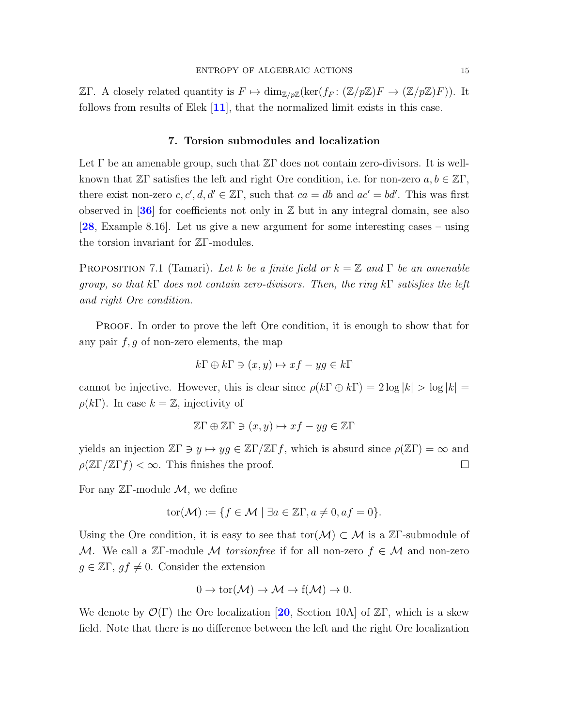$\mathbb{Z}$ Γ. A closely related quantity is  $F \mapsto \dim_{\mathbb{Z}/p\mathbb{Z}}(\ker(f_F: (\mathbb{Z}/p\mathbb{Z})F \to (\mathbb{Z}/p\mathbb{Z})F))$ . It follows from results of Elek  $[11]$  $[11]$  $[11]$ , that the normalized limit exists in this case.

#### 7. Torsion submodules and localization

<span id="page-16-0"></span>Let  $\Gamma$  be an amenable group, such that  $\mathbb{Z}\Gamma$  does not contain zero-divisors. It is wellknown that  $\mathbb{Z}\Gamma$  satisfies the left and right Ore condition, i.e. for non-zero  $a, b \in \mathbb{Z}\Gamma$ , there exist non-zero  $c, c', d, d' \in \mathbb{Z}\Gamma$ , such that  $ca = db$  and  $ac' = bd'$ . This was first observed in  $[36]$  $[36]$  $[36]$  for coefficients not only in  $\mathbb Z$  but in any integral domain, see also [[28](#page-23-7), Example 8.16]. Let us give a new argument for some interesting cases – using the torsion invariant for ZΓ-modules.

PROPOSITION 7.1 (Tamari). Let k be a finite field or  $k = \mathbb{Z}$  and  $\Gamma$  be an amenable group, so that  $k\Gamma$  does not contain zero-divisors. Then, the ring  $k\Gamma$  satisfies the left and right Ore condition.

PROOF. In order to prove the left Ore condition, it is enough to show that for any pair  $f, g$  of non-zero elements, the map

$$
k\Gamma \oplus k\Gamma \ni (x, y) \mapsto xf - yg \in k\Gamma
$$

cannot be injective. However, this is clear since  $\rho(k\Gamma \oplus k\Gamma) = 2 \log |k| > \log |k| =$  $\rho(k\Gamma)$ . In case  $k=\mathbb{Z}$ , injectivity of

$$
\mathbb{Z}\Gamma \oplus \mathbb{Z}\Gamma \ni (x, y) \mapsto xf - yg \in \mathbb{Z}\Gamma
$$

yields an injection  $\mathbb{Z}\Gamma \ni y \mapsto yg \in \mathbb{Z}\Gamma/\mathbb{Z}\Gamma f$ , which is absurd since  $\rho(\mathbb{Z}\Gamma) = \infty$  and  $\rho(\mathbb{Z}\Gamma/\mathbb{Z}\Gamma f)<\infty$ . This finishes the proof.

For any  $\mathbb{Z}\Gamma$ -module  $\mathcal{M}$ , we define

$$
tor(\mathcal{M}) := \{ f \in \mathcal{M} \mid \exists a \in \mathbb{Z}\Gamma, a \neq 0, af = 0 \}.
$$

Using the Ore condition, it is easy to see that  $\text{tor}(\mathcal{M}) \subset \mathcal{M}$  is a ZΓ-submodule of M. We call a  $\mathbb{Z}\Gamma$ -module M torsionfree if for all non-zero  $f \in \mathcal{M}$  and non-zero  $g \in \mathbb{Z}\Gamma, g f \neq 0$ . Consider the extension

$$
0 \to \text{tor}(\mathcal{M}) \to \mathcal{M} \to f(\mathcal{M}) \to 0.
$$

We denote by  $\mathcal{O}(\Gamma)$  the Ore localization [[20](#page-23-17), Section 10A] of  $\mathbb{Z}\Gamma$ , which is a skew field. Note that there is no difference between the left and the right Ore localization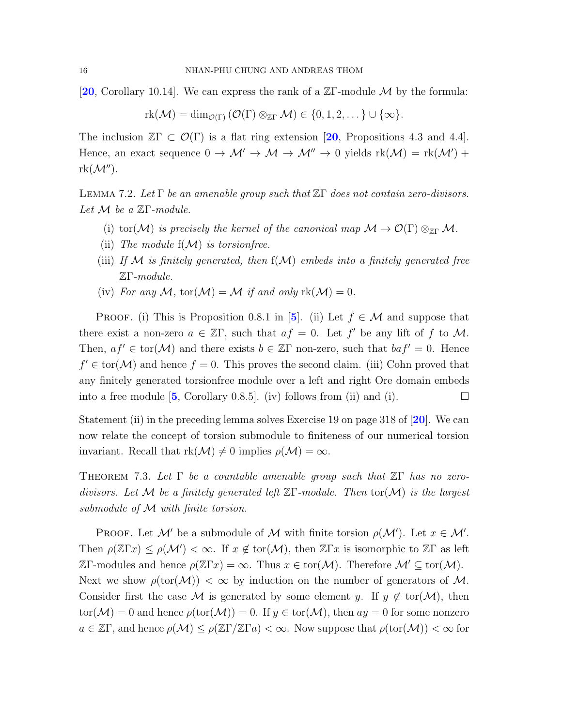[[20](#page-23-17), Corollary 10.14]. We can express the rank of a  $\mathbb{Z}\Gamma$ -module M by the formula:

$$
rk(\mathcal{M}) = \dim_{\mathcal{O}(\Gamma)} (\mathcal{O}(\Gamma) \otimes_{\mathbb{Z}\Gamma} \mathcal{M}) \in \{0, 1, 2, \dots\} \cup \{\infty\}.
$$

The inclusion  $\mathbb{Z}\Gamma \subset \mathcal{O}(\Gamma)$  is a flat ring extension [[20](#page-23-17), Propositions 4.3 and 4.4]. Hence, an exact sequence  $0 \to M' \to M \to M'' \to 0$  yields  $rk(M) = rk(M') +$  $rk(\mathcal{M}'')$ .

<span id="page-17-0"></span>LEMMA 7.2. Let Γ be an amenable group such that  $\mathbb{Z}\Gamma$  does not contain zero-divisors. Let  $M$  be a  $\mathbb{Z}\Gamma$ -module.

- (i) tor(M) is precisely the kernel of the canonical map  $\mathcal{M} \to \mathcal{O}(\Gamma) \otimes_{\mathbb{Z}\Gamma} \mathcal{M}$ .
- (ii) The module  $f(\mathcal{M})$  is torsion free.
- (iii) If  $\mathcal M$  is finitely generated, then  $f(\mathcal M)$  embeds into a finitely generated free ZΓ-module.
- (iv) For any M, tor( $\mathcal{M}$ ) = M if and only rk( $\mathcal{M}$ ) = 0.

PROOF. (i) This is Proposition 0.8.1 in [[5](#page-22-12)]. (ii) Let  $f \in \mathcal{M}$  and suppose that there exist a non-zero  $a \in \mathbb{Z}\Gamma$ , such that  $af = 0$ . Let f' be any lift of f to M. Then,  $af' \in \text{tor}(\mathcal{M})$  and there exists  $b \in \mathbb{Z}\Gamma$  non-zero, such that  $baf' = 0$ . Hence  $f' \in \text{tor}(\mathcal{M})$  and hence  $f = 0$ . This proves the second claim. (iii) Cohn proved that any finitely generated torsionfree module over a left and right Ore domain embeds into a free module  $[5,$  $[5,$  $[5,$  Corollary 0.8.5.] (iv) follows from (ii) and (i).

Statement (ii) in the preceding lemma solves Exercise 19 on page 318 of [[20](#page-23-17)]. We can now relate the concept of torsion submodule to finiteness of our numerical torsion invariant. Recall that  $rk(\mathcal{M})\neq 0$  implies  $\rho(\mathcal{M})=\infty$ .

THEOREM 7.3. Let  $\Gamma$  be a countable amenable group such that  $\mathbb{Z}\Gamma$  has no zerodivisors. Let M be a finitely generated left  $\mathbb{Z}\Gamma$ -module. Then tor(M) is the largest submodule of M with finite torsion.

PROOF. Let M' be a submodule of M with finite torsion  $\rho(\mathcal{M}')$ . Let  $x \in \mathcal{M}'$ . Then  $\rho(\mathbb{Z}\Gamma x) \leq \rho(\mathcal{M}') < \infty$ . If  $x \notin \text{tor}(\mathcal{M})$ , then  $\mathbb{Z}\Gamma x$  is isomorphic to  $\mathbb{Z}\Gamma$  as left  $\mathbb{Z}\Gamma$ -modules and hence  $\rho(\mathbb{Z}\Gamma x) = \infty$ . Thus  $x \in \text{tor}(\mathcal{M})$ . Therefore  $\mathcal{M}' \subseteq \text{tor}(\mathcal{M})$ . Next we show  $\rho(\text{tor}(\mathcal{M})) < \infty$  by induction on the number of generators of M. Consider first the case M is generated by some element y. If  $y \notin \text{tor}(\mathcal{M})$ , then  $\text{tor}(\mathcal{M}) = 0$  and hence  $\rho(\text{tor}(\mathcal{M})) = 0$ . If  $y \in \text{tor}(\mathcal{M})$ , then  $ay = 0$  for some nonzero  $a \in \mathbb{Z}\Gamma$ , and hence  $\rho(\mathcal{M}) \leq \rho(\mathbb{Z}\Gamma/\mathbb{Z}\Gamma a) < \infty$ . Now suppose that  $\rho(\text{tor}(\mathcal{M})) < \infty$  for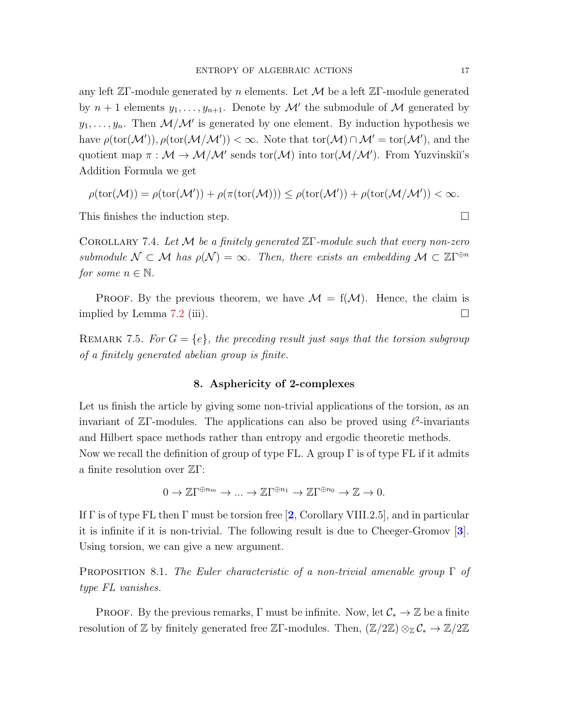any left  $\mathbb{Z}\Gamma$ -module generated by n elements. Let M be a left  $\mathbb{Z}\Gamma$ -module generated by  $n+1$  elements  $y_1, \ldots, y_{n+1}$ . Denote by  $\mathcal{M}'$  the submodule of  $\mathcal M$  generated by  $y_1, \ldots, y_n$ . Then  $\mathcal{M}/\mathcal{M}'$  is generated by one element. By induction hypothesis we have  $\rho(\text{tor}(\mathcal{M}'))$ ,  $\rho(\text{tor}(\mathcal{M}/\mathcal{M}')) < \infty$ . Note that  $\text{tor}(\mathcal{M}) \cap \mathcal{M}' = \text{tor}(\mathcal{M}'),$  and the quotient map  $\pi : \mathcal{M} \to \mathcal{M}/\mathcal{M}'$  sends tor $(\mathcal{M})$  into tor $(\mathcal{M}/\mathcal{M}')$ . From Yuzvinskii's Addition Formula we get

$$
\rho(\mathrm{tor}(\mathcal{M}))=\rho(\mathrm{tor}(\mathcal{M}'))+\rho(\pi(\mathrm{tor}(\mathcal{M})))\leq\rho(\mathrm{tor}(\mathcal{M}'))+\rho(\mathrm{tor}(\mathcal{M}/\mathcal{M}'))<\infty.
$$

This finishes the induction step.  $\Box$ 

COROLLARY 7.4. Let M be a finitely generated  $\mathbb{Z}\Gamma$ -module such that every non-zero submodule  $\mathcal{N} \subset \mathcal{M}$  has  $\rho(\mathcal{N}) = \infty$ . Then, there exists an embedding  $\mathcal{M} \subset \mathbb{Z}\Gamma^{\oplus n}$ for some  $n \in \mathbb{N}$ .

**PROOF.** By the previous theorem, we have  $\mathcal{M} = f(\mathcal{M})$ . Hence, the claim is implied by Lemma [7.2](#page-17-0) (iii).  $\Box$ 

REMARK 7.5. For  $G = \{e\}$ , the preceding result just says that the torsion subgroup of a finitely generated abelian group is finite.

### 8. Asphericity of 2-complexes

<span id="page-18-0"></span>Let us finish the article by giving some non-trivial applications of the torsion, as an invariant of  $\mathbb{Z}\Gamma$ -modules. The applications can also be proved using  $\ell^2$ -invariants and Hilbert space methods rather than entropy and ergodic theoretic methods. Now we recall the definition of group of type FL. A group  $\Gamma$  is of type FL if it admits a finite resolution over ZΓ:

 $0 \to \mathbb{Z}\Gamma^{\oplus n_m} \to \dots \to \mathbb{Z}\Gamma^{\oplus n_1} \to \mathbb{Z}\Gamma^{\oplus n_0} \to \mathbb{Z} \to 0.$ 

If  $\Gamma$  is of type FL then  $\Gamma$  must be torsion free [[2](#page-22-13), Corollary VIII.2.5], and in particular it is infinite if it is non-trivial. The following result is due to Cheeger-Gromov [[3](#page-22-14)]. Using torsion, we can give a new argument.

<span id="page-18-1"></span>PROPOSITION 8.1. The Euler characteristic of a non-trivial amenable group  $\Gamma$  of type FL vanishes.

**PROOF.** By the previous remarks, Γ must be infinite. Now, let  $C_* \to \mathbb{Z}$  be a finite resolution of Z by finitely generated free ZΓ-modules. Then,  $(\mathbb{Z}/2\mathbb{Z}) \otimes_{\mathbb{Z}} C_* \to \mathbb{Z}/2\mathbb{Z}$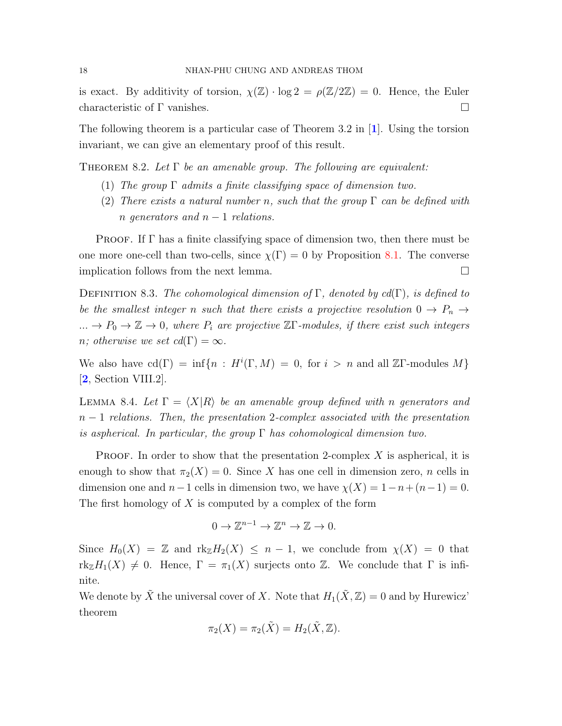is exact. By additivity of torsion,  $\chi(\mathbb{Z}) \cdot \log 2 = \rho(\mathbb{Z}/2\mathbb{Z}) = 0$ . Hence, the Euler characteristic of Γ vanishes.

The following theorem is a particular case of Theorem 3.2 in [[1](#page-22-15)]. Using the torsion invariant, we can give an elementary proof of this result.

THEOREM 8.2. Let  $\Gamma$  be an amenable group. The following are equivalent:

- (1) The group  $\Gamma$  admits a finite classifying space of dimension two.
- (2) There exists a natural number n, such that the group  $\Gamma$  can be defined with n generators and  $n-1$  relations.

**PROOF.** If  $\Gamma$  has a finite classifying space of dimension two, then there must be one more one-cell than two-cells, since  $\chi(\Gamma) = 0$  by Proposition [8.1.](#page-18-1) The converse implication follows from the next lemma.

<span id="page-19-0"></span>DEFINITION 8.3. The cohomological dimension of  $\Gamma$ , denoted by cd( $\Gamma$ ), is defined to be the smallest integer n such that there exists a projective resolution  $0 \to P_n \to$  $... \to P_0 \to \mathbb{Z} \to 0$ , where  $P_i$  are projective  $\mathbb{Z}\Gamma$ -modules, if there exist such integers n; otherwise we set  $cd(\Gamma) = \infty$ .

We also have  $cd(\Gamma) = \inf\{n : H^i(\Gamma, M) = 0, \text{ for } i > n \text{ and all } \mathbb{Z}\Gamma\text{-modules } M\}$ [[2](#page-22-13), Section VIII.2].

<span id="page-19-1"></span>LEMMA 8.4. Let  $\Gamma = \langle X|R \rangle$  be an amenable group defined with n generators and  $n-1$  relations. Then, the presentation 2-complex associated with the presentation is aspherical. In particular, the group  $\Gamma$  has cohomological dimension two.

**PROOF.** In order to show that the presentation 2-complex X is aspherical, it is enough to show that  $\pi_2(X) = 0$ . Since X has one cell in dimension zero, n cells in dimension one and  $n-1$  cells in dimension two, we have  $\chi(X) = 1-n+(n-1) = 0$ . The first homology of X is computed by a complex of the form

$$
0 \to \mathbb{Z}^{n-1} \to \mathbb{Z}^n \to \mathbb{Z} \to 0.
$$

Since  $H_0(X) = \mathbb{Z}$  and  $\text{rk}_{\mathbb{Z}}H_2(X) \leq n-1$ , we conclude from  $\chi(X) = 0$  that  $rk_{\mathbb{Z}}H_1(X) \neq 0$ . Hence,  $\Gamma = \pi_1(X)$  surjects onto Z. We conclude that  $\Gamma$  is infinite.

We denote by  $\tilde{X}$  the universal cover of X. Note that  $H_1(\tilde{X}, \mathbb{Z}) = 0$  and by Hurewicz' theorem

$$
\pi_2(X) = \pi_2(\tilde{X}) = H_2(\tilde{X}, \mathbb{Z}).
$$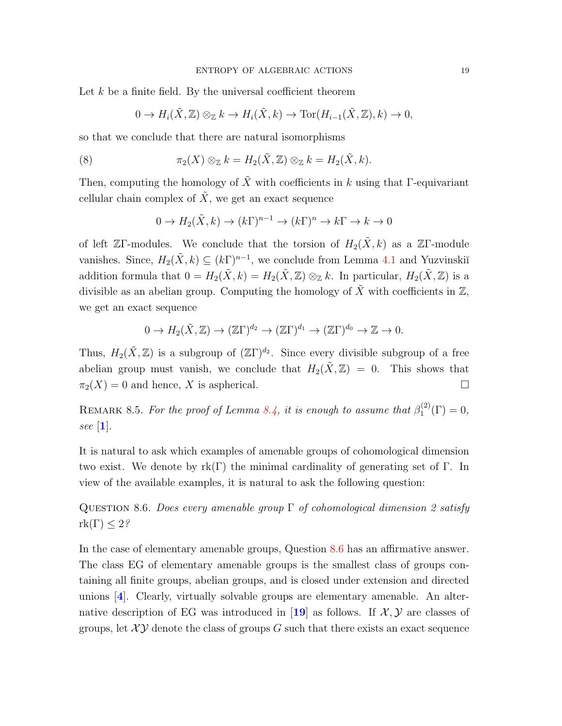Let  $k$  be a finite field. By the universal coefficient theorem

$$
0 \to H_i(\tilde{X}, \mathbb{Z}) \otimes_{\mathbb{Z}} k \to H_i(\tilde{X}, k) \to \text{Tor}(H_{i-1}(\tilde{X}, \mathbb{Z}), k) \to 0,
$$

so that we conclude that there are natural isomorphisms

(8) 
$$
\pi_2(X) \otimes_{\mathbb{Z}} k = H_2(\tilde{X}, \mathbb{Z}) \otimes_{\mathbb{Z}} k = H_2(\tilde{X}, k).
$$

Then, computing the homology of  $\tilde{X}$  with coefficients in k using that Γ-equivariant cellular chain complex of  $\tilde{X}$ , we get an exact sequence

$$
0 \to H_2(\tilde{X}, k) \to (k\Gamma)^{n-1} \to (k\Gamma)^n \to k\Gamma \to k \to 0
$$

of left ZΓ-modules. We conclude that the torsion of  $H_2(\tilde{X}, k)$  as a ZΓ-module vanishes. Since,  $H_2(\tilde{X}, k) \subseteq (k\Gamma)^{n-1}$ , we conclude from Lemma [4.1](#page-8-3) and Yuzvinskiı̆ addition formula that  $0 = H_2(\tilde{X}, k) = H_2(\tilde{X}, \mathbb{Z}) \otimes_{\mathbb{Z}} k$ . In particular,  $H_2(\tilde{X}, \mathbb{Z})$  is a divisible as an abelian group. Computing the homology of  $\tilde{X}$  with coefficients in  $\mathbb{Z}$ , we get an exact sequence

$$
0 \to H_2(\tilde{X}, \mathbb{Z}) \to (\mathbb{Z}\Gamma)^{d_2} \to (\mathbb{Z}\Gamma)^{d_1} \to (\mathbb{Z}\Gamma)^{d_0} \to \mathbb{Z} \to 0.
$$

Thus,  $H_2(\tilde{X}, \mathbb{Z})$  is a subgroup of  $(\mathbb{Z}\Gamma)^{d_2}$ . Since every divisible subgroup of a free abelian group must vanish, we conclude that  $H_2(\tilde{X}, Z) = 0$ . This shows that  $\pi_2(X) = 0$  and hence, X is aspherical.

REMARK 8.5. For the proof of Lemma [8.4,](#page-19-1) it is enough to assume that  $\beta_1^{(2)}$  $j_1^{(2)}(\Gamma)=0,$ see [[1](#page-22-15)].

It is natural to ask which examples of amenable groups of cohomological dimension two exist. We denote by  $\text{rk}(\Gamma)$  the minimal cardinality of generating set of  $\Gamma$ . In view of the available examples, it is natural to ask the following question:

<span id="page-20-0"></span>QUESTION 8.6. Does every amenable group  $\Gamma$  of cohomological dimension 2 satisfy  $rk(\Gamma) \leq 2$ ?

In the case of elementary amenable groups, Question [8.6](#page-20-0) has an affirmative answer. The class EG of elementary amenable groups is the smallest class of groups containing all finite groups, abelian groups, and is closed under extension and directed unions [[4](#page-22-16)]. Clearly, virtually solvable groups are elementary amenable. An alter-native description of EG was introduced in [[19](#page-22-9)] as follows. If  $\mathcal{X}, \mathcal{Y}$  are classes of groups, let  $XY$  denote the class of groups G such that there exists an exact sequence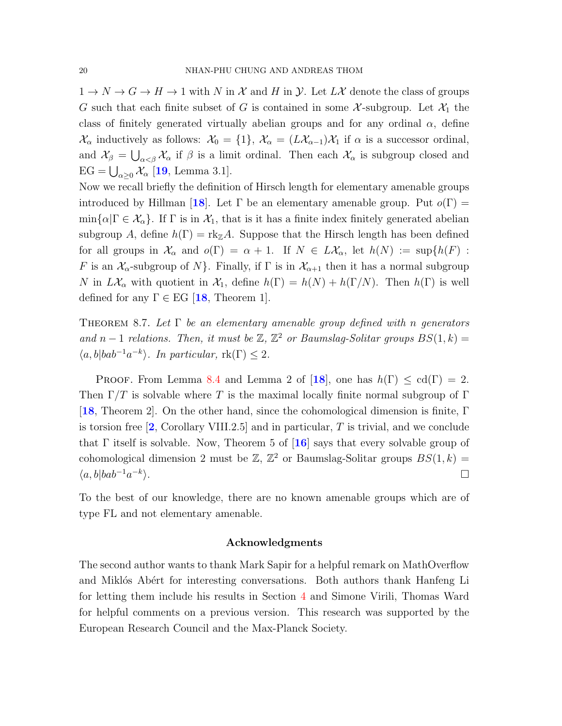$1 \to N \to G \to H \to 1$  with N in X and H in Y. Let  $L\mathcal{X}$  denote the class of groups G such that each finite subset of G is contained in some X-subgroup. Let  $\mathcal{X}_1$  the class of finitely generated virtually abelian groups and for any ordinal  $\alpha$ , define  $\mathcal{X}_{\alpha}$  inductively as follows:  $\mathcal{X}_{0} = \{1\}, \mathcal{X}_{\alpha} = (L\mathcal{X}_{\alpha-1})\mathcal{X}_{1}$  if  $\alpha$  is a successor ordinal, and  $\mathcal{X}_{\beta} = \bigcup_{\alpha < \beta} \mathcal{X}_{\alpha}$  if  $\beta$  is a limit ordinal. Then each  $\mathcal{X}_{\alpha}$  is subgroup closed and  $EG = \bigcup_{\alpha \geq 0} \mathcal{X}_{\alpha}$  [[19](#page-22-9), Lemma 3.1].

Now we recall briefly the definition of Hirsch length for elementary amenable groups introduced by Hillman [[18](#page-22-17)]. Let  $\Gamma$  be an elementary amenable group. Put  $o(\Gamma)$  =  $\min\{\alpha|\Gamma \in \mathcal{X}_{\alpha}\}.$  If  $\Gamma$  is in  $\mathcal{X}_1$ , that is it has a finite index finitely generated abelian subgroup A, define  $h(\Gamma) = \text{rk}_{\mathbb{Z}}A$ . Suppose that the Hirsch length has been defined for all groups in  $\mathcal{X}_{\alpha}$  and  $o(\Gamma) = \alpha + 1$ . If  $N \in L\mathcal{X}_{\alpha}$ , let  $h(N) := \sup\{h(F) :$ F is an  $\mathcal{X}_{\alpha}$ -subgroup of N $\}$ . Finally, if  $\Gamma$  is in  $\mathcal{X}_{\alpha+1}$  then it has a normal subgroup N in  $L\mathcal{X}_{\alpha}$  with quotient in  $\mathcal{X}_1$ , define  $h(\Gamma) = h(N) + h(\Gamma/N)$ . Then  $h(\Gamma)$  is well defined for any  $\Gamma \in EG$  [[18](#page-22-17), Theorem 1].

THEOREM 8.7. Let  $\Gamma$  be an elementary amenable group defined with n generators and n – 1 relations. Then, it must be  $\mathbb{Z}, \mathbb{Z}^2$  or Baumslag-Solitar groups  $BS(1, k)$  =  $\langle a, b | bab^{-1}a^{-k} \rangle$ . In particular,  $rk(\Gamma) \leq 2$ .

PROOF. From Lemma [8.4](#page-19-1) and Lemma 2 of [[18](#page-22-17)], one has  $h(\Gamma) \leq \text{cd}(\Gamma) = 2$ . Then  $\Gamma/T$  is solvable where T is the maximal locally finite normal subgroup of  $\Gamma$ [[18](#page-22-17), Theorem 2]. On the other hand, since the cohomological dimension is finite, Γ is torsion free  $\left[2, \right.$  $\left[2, \right.$  $\left[2, \right.$  Corollary VIII.2.5 and in particular, T is trivial, and we conclude that  $\Gamma$  itself is solvable. Now, Theorem 5 of  $\mathbf{16}$  $\mathbf{16}$  $\mathbf{16}$  says that every solvable group of cohomological dimension 2 must be  $\mathbb{Z}, \mathbb{Z}^2$  or Baumslag-Solitar groups  $BS(1, k) =$  $\langle a, b | bab^{-1}a^{-k} \rangle$ ).  $\Box$ 

To the best of our knowledge, there are no known amenable groups which are of type FL and not elementary amenable.

#### <span id="page-21-0"></span>Acknowledgments

The second author wants to thank Mark Sapir for a helpful remark on MathOverflow and Miklós Abért for interesting conversations. Both authors thank Hanfeng Li for letting them include his results in Section [4](#page-8-0) and Simone Virili, Thomas Ward for helpful comments on a previous version. This research was supported by the European Research Council and the Max-Planck Society.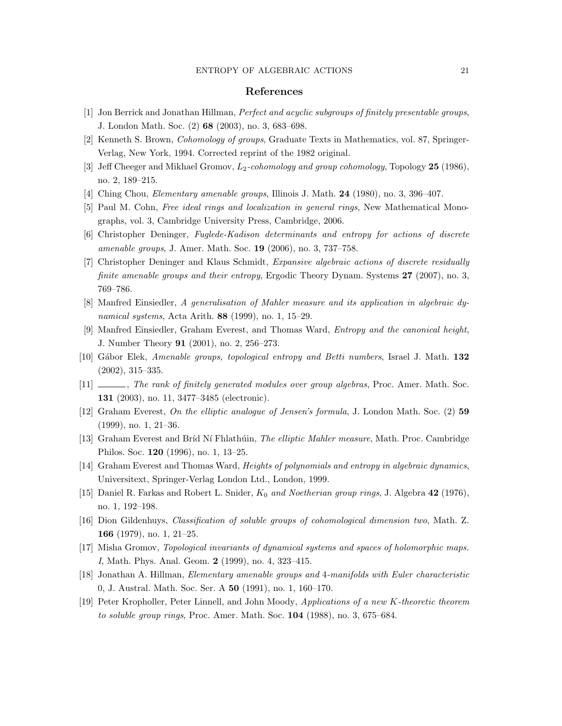#### <span id="page-22-0"></span>References

- <span id="page-22-15"></span>[1] Jon Berrick and Jonathan Hillman, Perfect and acyclic subgroups of finitely presentable groups, J. London Math. Soc. (2) 68 (2003), no. 3, 683–698.
- <span id="page-22-13"></span>[2] Kenneth S. Brown, Cohomology of groups, Graduate Texts in Mathematics, vol. 87, Springer-Verlag, New York, 1994. Corrected reprint of the 1982 original.
- <span id="page-22-14"></span>[3] Jeff Cheeger and Mikhael Gromov,  $L_2$ -cohomology and group cohomology, Topology 25 (1986), no. 2, 189–215.
- <span id="page-22-16"></span>[4] Ching Chou, *Elementary amenable groups*, Illinois J. Math. **24** (1980), no. 3, 396–407.
- <span id="page-22-12"></span>[5] Paul M. Cohn, *Free ideal rings and localization in general rings*, New Mathematical Monographs, vol. 3, Cambridge University Press, Cambridge, 2006.
- <span id="page-22-1"></span>[6] Christopher Deninger, Fuglede-Kadison determinants and entropy for actions of discrete amenable groups, J. Amer. Math. Soc. 19 (2006), no. 3, 737–758.
- <span id="page-22-2"></span>[7] Christopher Deninger and Klaus Schmidt, Expansive algebraic actions of discrete residually finite amenable groups and their entropy, Ergodic Theory Dynam. Systems 27 (2007), no. 3, 769–786.
- <span id="page-22-3"></span>[8] Manfred Einsiedler, A generalisation of Mahler measure and its application in algebraic dynamical systems, Acta Arith. 88 (1999), no. 1, 15–29.
- <span id="page-22-4"></span>[9] Manfred Einsiedler, Graham Everest, and Thomas Ward, Entropy and the canonical height, J. Number Theory 91 (2001), no. 2, 256–273.
- <span id="page-22-10"></span>[10] Gábor Elek, Amenable groups, topological entropy and Betti numbers, Israel J. Math. 132 (2002), 315–335.
- <span id="page-22-11"></span> $[11]$  , The rank of finitely generated modules over group algebras, Proc. Amer. Math. Soc. 131 (2003), no. 11, 3477–3485 (electronic).
- <span id="page-22-5"></span>[12] Graham Everest, On the elliptic analogue of Jensen's formula, J. London Math. Soc. (2) 59 (1999), no. 1, 21–36.
- [13] Graham Everest and Bríd Ní Fhlathúin, The elliptic Mahler measure, Math. Proc. Cambridge Philos. Soc. 120 (1996), no. 1, 13–25.
- <span id="page-22-6"></span>[14] Graham Everest and Thomas Ward, Heights of polynomials and entropy in algebraic dynamics, Universitext, Springer-Verlag London Ltd., London, 1999.
- <span id="page-22-8"></span>[15] Daniel R. Farkas and Robert L. Snider,  $K_0$  and Noetherian group rings, J. Algebra 42 (1976), no. 1, 192–198.
- <span id="page-22-18"></span>[16] Dion Gildenhuys, Classification of soluble groups of cohomological dimension two, Math. Z. 166 (1979), no. 1, 21–25.
- <span id="page-22-7"></span>[17] Misha Gromov, Topological invariants of dynamical systems and spaces of holomorphic maps. I, Math. Phys. Anal. Geom. 2 (1999), no. 4, 323–415.
- <span id="page-22-17"></span>[18] Jonathan A. Hillman, Elementary amenable groups and 4-manifolds with Euler characteristic 0, J. Austral. Math. Soc. Ser. A 50 (1991), no. 1, 160–170.
- <span id="page-22-9"></span>[19] Peter Kropholler, Peter Linnell, and John Moody, Applications of a new K-theoretic theorem to soluble group rings, Proc. Amer. Math. Soc. 104 (1988), no. 3, 675–684.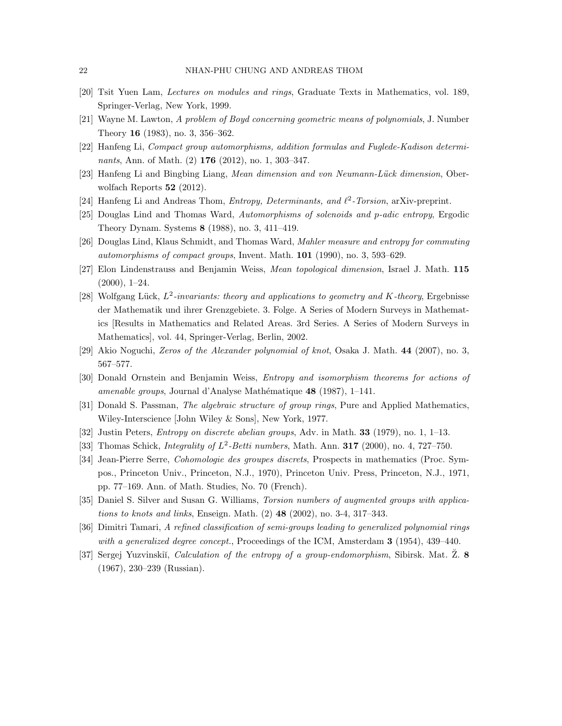- <span id="page-23-17"></span>[20] Tsit Yuen Lam, Lectures on modules and rings, Graduate Texts in Mathematics, vol. 189, Springer-Verlag, New York, 1999.
- <span id="page-23-15"></span>[21] Wayne M. Lawton, A problem of Boyd concerning geometric means of polynomials, J. Number Theory 16 (1983), no. 3, 356–362.
- <span id="page-23-13"></span>[22] Hanfeng Li, Compact group automorphisms, addition formulas and Fuglede-Kadison determinants, Ann. of Math. (2) 176 (2012), no. 1, 303–347.
- <span id="page-23-8"></span>[23] Hanfeng Li and Bingbing Liang, Mean dimension and von Neumann-Lück dimension, Oberwolfach Reports 52 (2012).
- <span id="page-23-3"></span>[24] Hanfeng Li and Andreas Thom, *Entropy, Determinants, and*  $\ell^2$ -Torsion, arXiv-preprint.
- <span id="page-23-4"></span>[25] Douglas Lind and Thomas Ward, Automorphisms of solenoids and p-adic entropy, Ergodic Theory Dynam. Systems 8 (1988), no. 3, 411–419.
- <span id="page-23-1"></span>[26] Douglas Lind, Klaus Schmidt, and Thomas Ward, Mahler measure and entropy for commuting automorphisms of compact groups, Invent. Math. 101 (1990), no. 3, 593–629.
- <span id="page-23-9"></span>[27] Elon Lindenstrauss and Benjamin Weiss, Mean topological dimension, Israel J. Math. 115  $(2000), 1-24.$
- <span id="page-23-7"></span>[28] Wolfgang Lück,  $L^2$ -invariants: theory and applications to geometry and K-theory, Ergebnisse der Mathematik und ihrer Grenzgebiete. 3. Folge. A Series of Modern Surveys in Mathematics [Results in Mathematics and Related Areas. 3rd Series. A Series of Modern Surveys in Mathematics], vol. 44, Springer-Verlag, Berlin, 2002.
- <span id="page-23-5"></span>[29] Akio Noguchi, Zeros of the Alexander polynomial of knot, Osaka J. Math. 44 (2007), no. 3, 567–577.
- <span id="page-23-2"></span>[30] Donald Ornstein and Benjamin Weiss, Entropy and isomorphism theorems for actions of amenable groups, Journal d'Analyse Mathématique 48 (1987), 1–141.
- <span id="page-23-11"></span>[31] Donald S. Passman, *The algebraic structure of group rings*, Pure and Applied Mathematics, Wiley-Interscience [John Wiley & Sons], New York, 1977.
- <span id="page-23-14"></span>[32] Justin Peters, Entropy on discrete abelian groups, Adv. in Math. 33 (1979), no. 1, 1–13.
- <span id="page-23-10"></span>[33] Thomas Schick, *Integrality of L*<sup>2</sup>-Betti numbers, Math. Ann. **317** (2000), no. 4, 727-750.
- <span id="page-23-12"></span>[34] Jean-Pierre Serre, Cohomologie des groupes discrets, Prospects in mathematics (Proc. Sympos., Princeton Univ., Princeton, N.J., 1970), Princeton Univ. Press, Princeton, N.J., 1971, pp. 77–169. Ann. of Math. Studies, No. 70 (French).
- <span id="page-23-6"></span>[35] Daniel S. Silver and Susan G. Williams, Torsion numbers of augmented groups with applications to knots and links, Enseign. Math. (2) 48 (2002), no. 3-4, 317–343.
- <span id="page-23-16"></span>[36] Dimitri Tamari, A refined classification of semi-groups leading to generalized polynomial rings with a generalized degree concept., Proceedings of the ICM, Amsterdam  $3$  (1954), 439–440.
- <span id="page-23-0"></span>[37] Sergej Yuzvinskiı̆, *Calculation of the entropy of a group-endomorphism*, Sibirsk. Mat.  $\overline{Z}$ . 8 (1967), 230–239 (Russian).